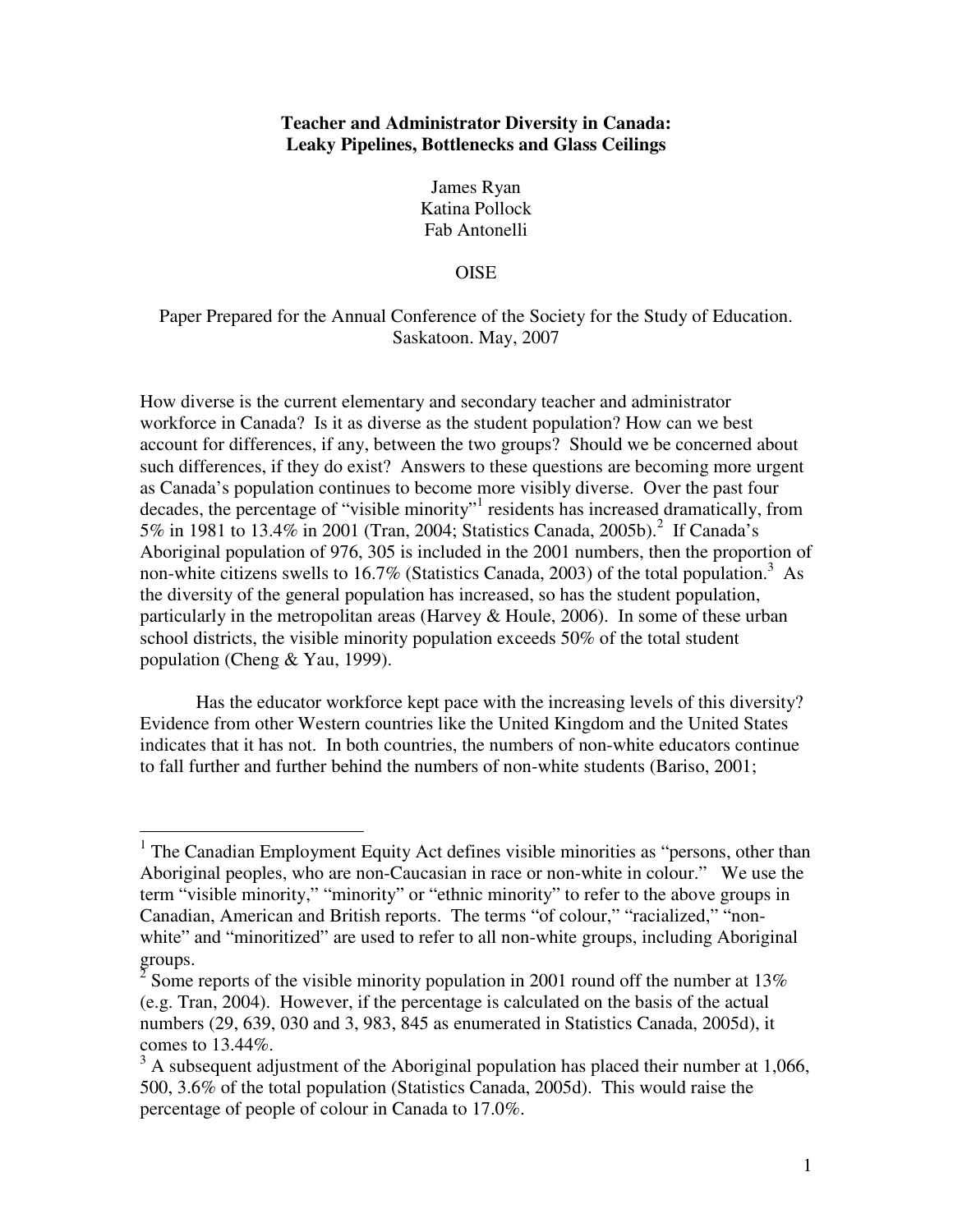## **Teacher and Administrator Diversity in Canada: Leaky Pipelines, Bottlenecks and Glass Ceilings**

James Ryan Katina Pollock Fab Antonelli

### **OISE**

# Paper Prepared for the Annual Conference of the Society for the Study of Education. Saskatoon. May, 2007

How diverse is the current elementary and secondary teacher and administrator workforce in Canada? Is it as diverse as the student population? How can we best account for differences, if any, between the two groups? Should we be concerned about such differences, if they do exist? Answers to these questions are becoming more urgent as Canada's population continues to become more visibly diverse. Over the past four decades, the percentage of "visible minority"<sup>1</sup> residents has increased dramatically, from 5% in 1981 to 13.4% in 2001 (Tran, 2004; Statistics Canada, 2005b).<sup>2</sup> If Canada's Aboriginal population of 976, 305 is included in the 2001 numbers, then the proportion of non-white citizens swells to 16.7% (Statistics Canada, 2003) of the total population.<sup>3</sup> As the diversity of the general population has increased, so has the student population, particularly in the metropolitan areas (Harvey & Houle, 2006). In some of these urban school districts, the visible minority population exceeds 50% of the total student population (Cheng & Yau, 1999).

Has the educator workforce kept pace with the increasing levels of this diversity? Evidence from other Western countries like the United Kingdom and the United States indicates that it has not. In both countries, the numbers of non-white educators continue to fall further and further behind the numbers of non-white students (Bariso, 2001;

 $\overline{a}$ 

<sup>&</sup>lt;sup>1</sup> The Canadian Employment Equity Act defines visible minorities as "persons, other than Aboriginal peoples, who are non-Caucasian in race or non-white in colour." We use the term "visible minority," "minority" or "ethnic minority" to refer to the above groups in Canadian, American and British reports. The terms "of colour," "racialized," "nonwhite" and "minoritized" are used to refer to all non-white groups, including Aboriginal groups.<br> $\frac{2}{3}$  Some is

Some reports of the visible minority population in 2001 round off the number at 13% (e.g. Tran, 2004). However, if the percentage is calculated on the basis of the actual numbers (29, 639, 030 and 3, 983, 845 as enumerated in Statistics Canada, 2005d), it comes to 13.44%.

 $3$  A subsequent adjustment of the Aboriginal population has placed their number at 1,066, 500, 3.6% of the total population (Statistics Canada, 2005d). This would raise the percentage of people of colour in Canada to 17.0%.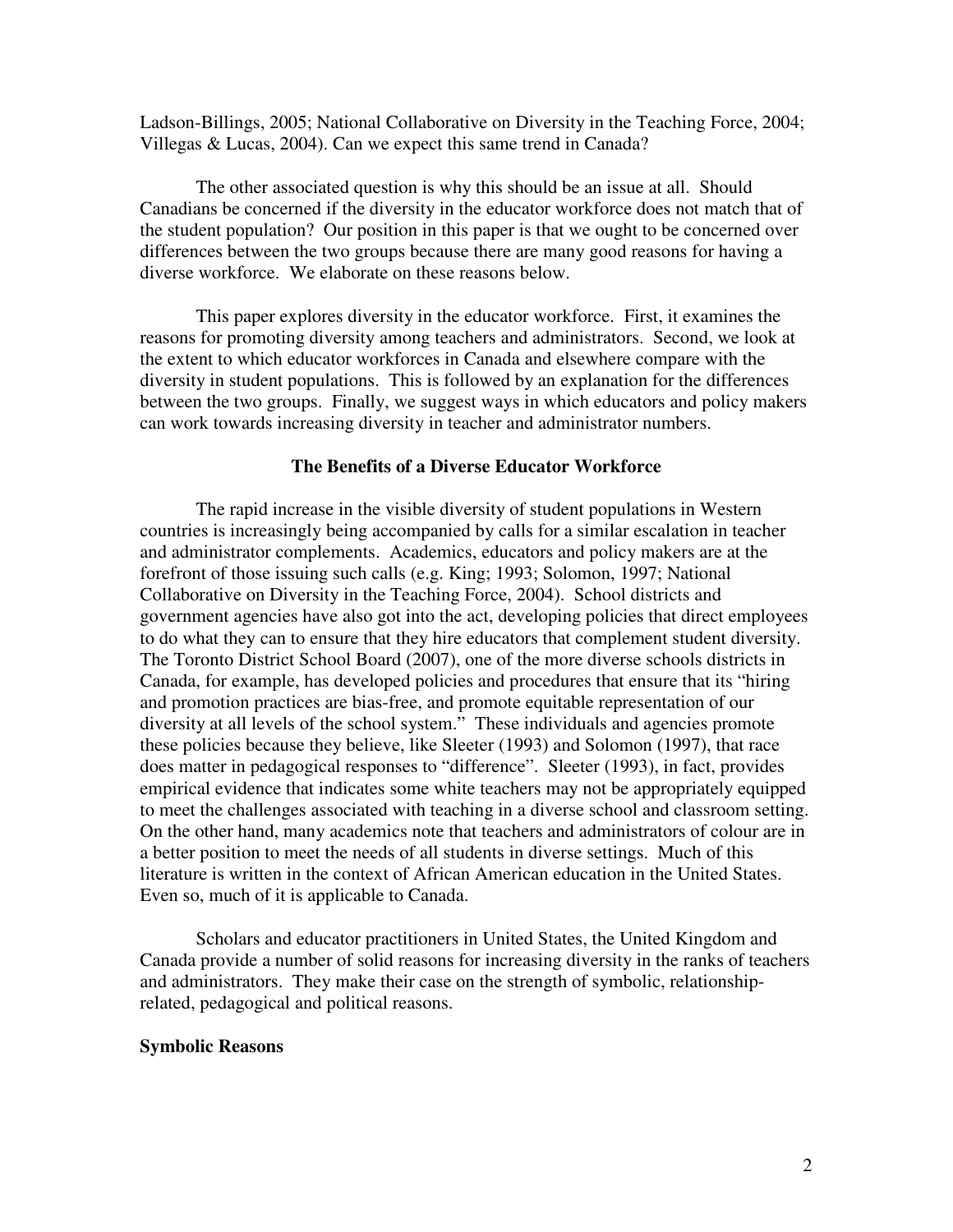Ladson-Billings, 2005; National Collaborative on Diversity in the Teaching Force, 2004; Villegas & Lucas, 2004). Can we expect this same trend in Canada?

The other associated question is why this should be an issue at all. Should Canadians be concerned if the diversity in the educator workforce does not match that of the student population? Our position in this paper is that we ought to be concerned over differences between the two groups because there are many good reasons for having a diverse workforce. We elaborate on these reasons below.

This paper explores diversity in the educator workforce. First, it examines the reasons for promoting diversity among teachers and administrators. Second, we look at the extent to which educator workforces in Canada and elsewhere compare with the diversity in student populations. This is followed by an explanation for the differences between the two groups. Finally, we suggest ways in which educators and policy makers can work towards increasing diversity in teacher and administrator numbers.

## **The Benefits of a Diverse Educator Workforce**

 The rapid increase in the visible diversity of student populations in Western countries is increasingly being accompanied by calls for a similar escalation in teacher and administrator complements. Academics, educators and policy makers are at the forefront of those issuing such calls (e.g. King; 1993; Solomon, 1997; National Collaborative on Diversity in the Teaching Force, 2004). School districts and government agencies have also got into the act, developing policies that direct employees to do what they can to ensure that they hire educators that complement student diversity. The Toronto District School Board (2007), one of the more diverse schools districts in Canada, for example, has developed policies and procedures that ensure that its "hiring and promotion practices are bias-free, and promote equitable representation of our diversity at all levels of the school system." These individuals and agencies promote these policies because they believe, like Sleeter (1993) and Solomon (1997), that race does matter in pedagogical responses to "difference". Sleeter (1993), in fact, provides empirical evidence that indicates some white teachers may not be appropriately equipped to meet the challenges associated with teaching in a diverse school and classroom setting. On the other hand, many academics note that teachers and administrators of colour are in a better position to meet the needs of all students in diverse settings. Much of this literature is written in the context of African American education in the United States. Even so, much of it is applicable to Canada.

 Scholars and educator practitioners in United States, the United Kingdom and Canada provide a number of solid reasons for increasing diversity in the ranks of teachers and administrators. They make their case on the strength of symbolic, relationshiprelated, pedagogical and political reasons.

## **Symbolic Reasons**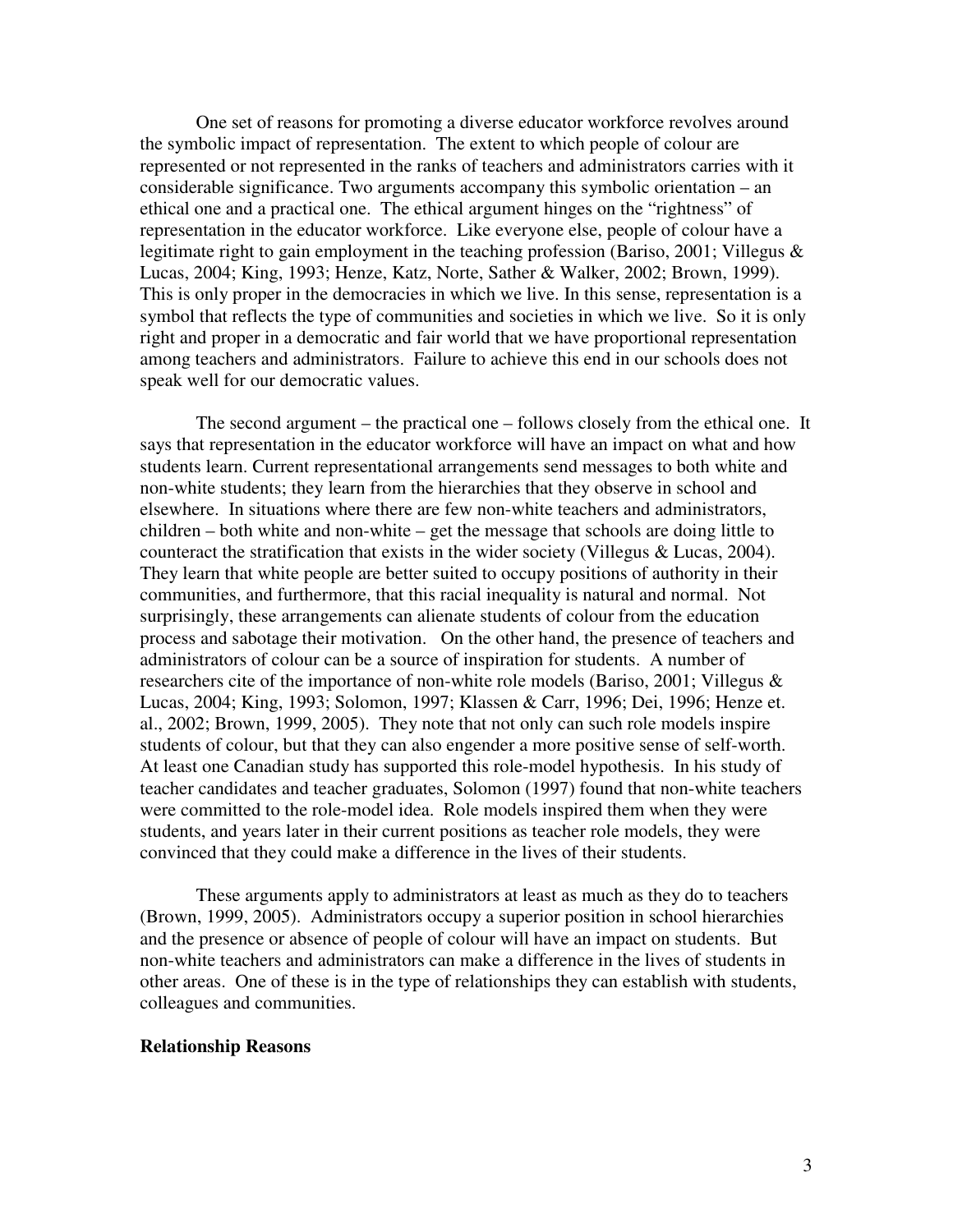One set of reasons for promoting a diverse educator workforce revolves around the symbolic impact of representation. The extent to which people of colour are represented or not represented in the ranks of teachers and administrators carries with it considerable significance. Two arguments accompany this symbolic orientation – an ethical one and a practical one. The ethical argument hinges on the "rightness" of representation in the educator workforce. Like everyone else, people of colour have a legitimate right to gain employment in the teaching profession (Bariso, 2001; Villegus & Lucas, 2004; King, 1993; Henze, Katz, Norte, Sather & Walker, 2002; Brown, 1999). This is only proper in the democracies in which we live. In this sense, representation is a symbol that reflects the type of communities and societies in which we live. So it is only right and proper in a democratic and fair world that we have proportional representation among teachers and administrators. Failure to achieve this end in our schools does not speak well for our democratic values.

 The second argument – the practical one – follows closely from the ethical one. It says that representation in the educator workforce will have an impact on what and how students learn. Current representational arrangements send messages to both white and non-white students; they learn from the hierarchies that they observe in school and elsewhere. In situations where there are few non-white teachers and administrators, children – both white and non-white – get the message that schools are doing little to counteract the stratification that exists in the wider society (Villegus & Lucas, 2004). They learn that white people are better suited to occupy positions of authority in their communities, and furthermore, that this racial inequality is natural and normal. Not surprisingly, these arrangements can alienate students of colour from the education process and sabotage their motivation. On the other hand, the presence of teachers and administrators of colour can be a source of inspiration for students. A number of researchers cite of the importance of non-white role models (Bariso, 2001; Villegus & Lucas, 2004; King, 1993; Solomon, 1997; Klassen & Carr, 1996; Dei, 1996; Henze et. al., 2002; Brown, 1999, 2005). They note that not only can such role models inspire students of colour, but that they can also engender a more positive sense of self-worth. At least one Canadian study has supported this role-model hypothesis. In his study of teacher candidates and teacher graduates, Solomon (1997) found that non-white teachers were committed to the role-model idea. Role models inspired them when they were students, and years later in their current positions as teacher role models, they were convinced that they could make a difference in the lives of their students.

 These arguments apply to administrators at least as much as they do to teachers (Brown, 1999, 2005). Administrators occupy a superior position in school hierarchies and the presence or absence of people of colour will have an impact on students. But non-white teachers and administrators can make a difference in the lives of students in other areas. One of these is in the type of relationships they can establish with students, colleagues and communities.

#### **Relationship Reasons**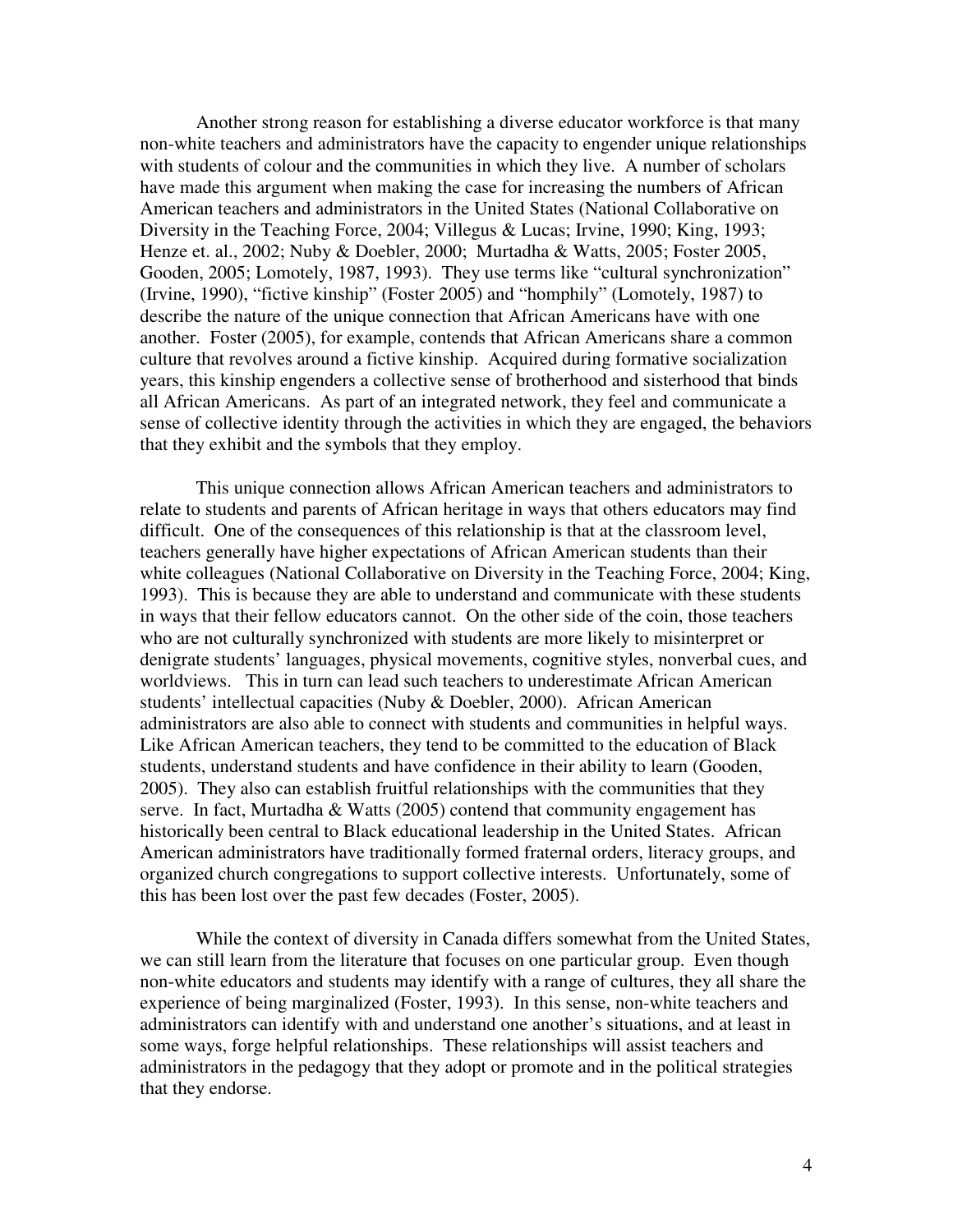Another strong reason for establishing a diverse educator workforce is that many non-white teachers and administrators have the capacity to engender unique relationships with students of colour and the communities in which they live. A number of scholars have made this argument when making the case for increasing the numbers of African American teachers and administrators in the United States (National Collaborative on Diversity in the Teaching Force, 2004; Villegus & Lucas; Irvine, 1990; King, 1993; Henze et. al., 2002; Nuby & Doebler, 2000; Murtadha & Watts, 2005; Foster 2005, Gooden, 2005; Lomotely, 1987, 1993). They use terms like "cultural synchronization" (Irvine, 1990), "fictive kinship" (Foster 2005) and "homphily" (Lomotely, 1987) to describe the nature of the unique connection that African Americans have with one another. Foster (2005), for example, contends that African Americans share a common culture that revolves around a fictive kinship. Acquired during formative socialization years, this kinship engenders a collective sense of brotherhood and sisterhood that binds all African Americans. As part of an integrated network, they feel and communicate a sense of collective identity through the activities in which they are engaged, the behaviors that they exhibit and the symbols that they employ.

 This unique connection allows African American teachers and administrators to relate to students and parents of African heritage in ways that others educators may find difficult. One of the consequences of this relationship is that at the classroom level, teachers generally have higher expectations of African American students than their white colleagues (National Collaborative on Diversity in the Teaching Force, 2004; King, 1993). This is because they are able to understand and communicate with these students in ways that their fellow educators cannot. On the other side of the coin, those teachers who are not culturally synchronized with students are more likely to misinterpret or denigrate students' languages, physical movements, cognitive styles, nonverbal cues, and worldviews. This in turn can lead such teachers to underestimate African American students' intellectual capacities (Nuby & Doebler, 2000). African American administrators are also able to connect with students and communities in helpful ways. Like African American teachers, they tend to be committed to the education of Black students, understand students and have confidence in their ability to learn (Gooden, 2005). They also can establish fruitful relationships with the communities that they serve. In fact, Murtadha & Watts (2005) contend that community engagement has historically been central to Black educational leadership in the United States. African American administrators have traditionally formed fraternal orders, literacy groups, and organized church congregations to support collective interests. Unfortunately, some of this has been lost over the past few decades (Foster, 2005).

 While the context of diversity in Canada differs somewhat from the United States, we can still learn from the literature that focuses on one particular group. Even though non-white educators and students may identify with a range of cultures, they all share the experience of being marginalized (Foster, 1993). In this sense, non-white teachers and administrators can identify with and understand one another's situations, and at least in some ways, forge helpful relationships. These relationships will assist teachers and administrators in the pedagogy that they adopt or promote and in the political strategies that they endorse.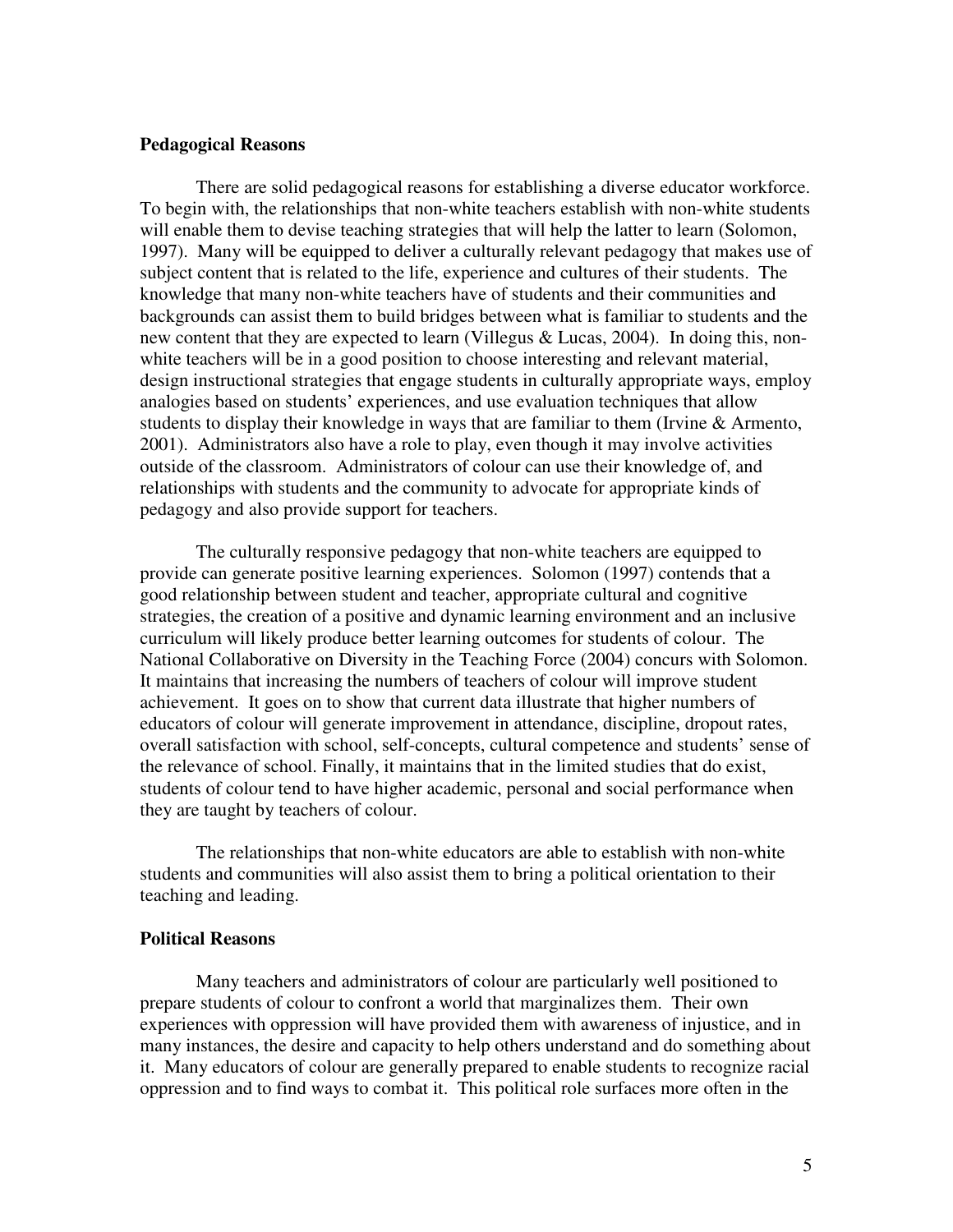## **Pedagogical Reasons**

There are solid pedagogical reasons for establishing a diverse educator workforce. To begin with, the relationships that non-white teachers establish with non-white students will enable them to devise teaching strategies that will help the latter to learn (Solomon, 1997). Many will be equipped to deliver a culturally relevant pedagogy that makes use of subject content that is related to the life, experience and cultures of their students. The knowledge that many non-white teachers have of students and their communities and backgrounds can assist them to build bridges between what is familiar to students and the new content that they are expected to learn (Villegus & Lucas, 2004). In doing this, nonwhite teachers will be in a good position to choose interesting and relevant material, design instructional strategies that engage students in culturally appropriate ways, employ analogies based on students' experiences, and use evaluation techniques that allow students to display their knowledge in ways that are familiar to them (Irvine & Armento, 2001). Administrators also have a role to play, even though it may involve activities outside of the classroom. Administrators of colour can use their knowledge of, and relationships with students and the community to advocate for appropriate kinds of pedagogy and also provide support for teachers.

 The culturally responsive pedagogy that non-white teachers are equipped to provide can generate positive learning experiences. Solomon (1997) contends that a good relationship between student and teacher, appropriate cultural and cognitive strategies, the creation of a positive and dynamic learning environment and an inclusive curriculum will likely produce better learning outcomes for students of colour. The National Collaborative on Diversity in the Teaching Force (2004) concurs with Solomon. It maintains that increasing the numbers of teachers of colour will improve student achievement. It goes on to show that current data illustrate that higher numbers of educators of colour will generate improvement in attendance, discipline, dropout rates, overall satisfaction with school, self-concepts, cultural competence and students' sense of the relevance of school. Finally, it maintains that in the limited studies that do exist, students of colour tend to have higher academic, personal and social performance when they are taught by teachers of colour.

 The relationships that non-white educators are able to establish with non-white students and communities will also assist them to bring a political orientation to their teaching and leading.

#### **Political Reasons**

 Many teachers and administrators of colour are particularly well positioned to prepare students of colour to confront a world that marginalizes them. Their own experiences with oppression will have provided them with awareness of injustice, and in many instances, the desire and capacity to help others understand and do something about it. Many educators of colour are generally prepared to enable students to recognize racial oppression and to find ways to combat it. This political role surfaces more often in the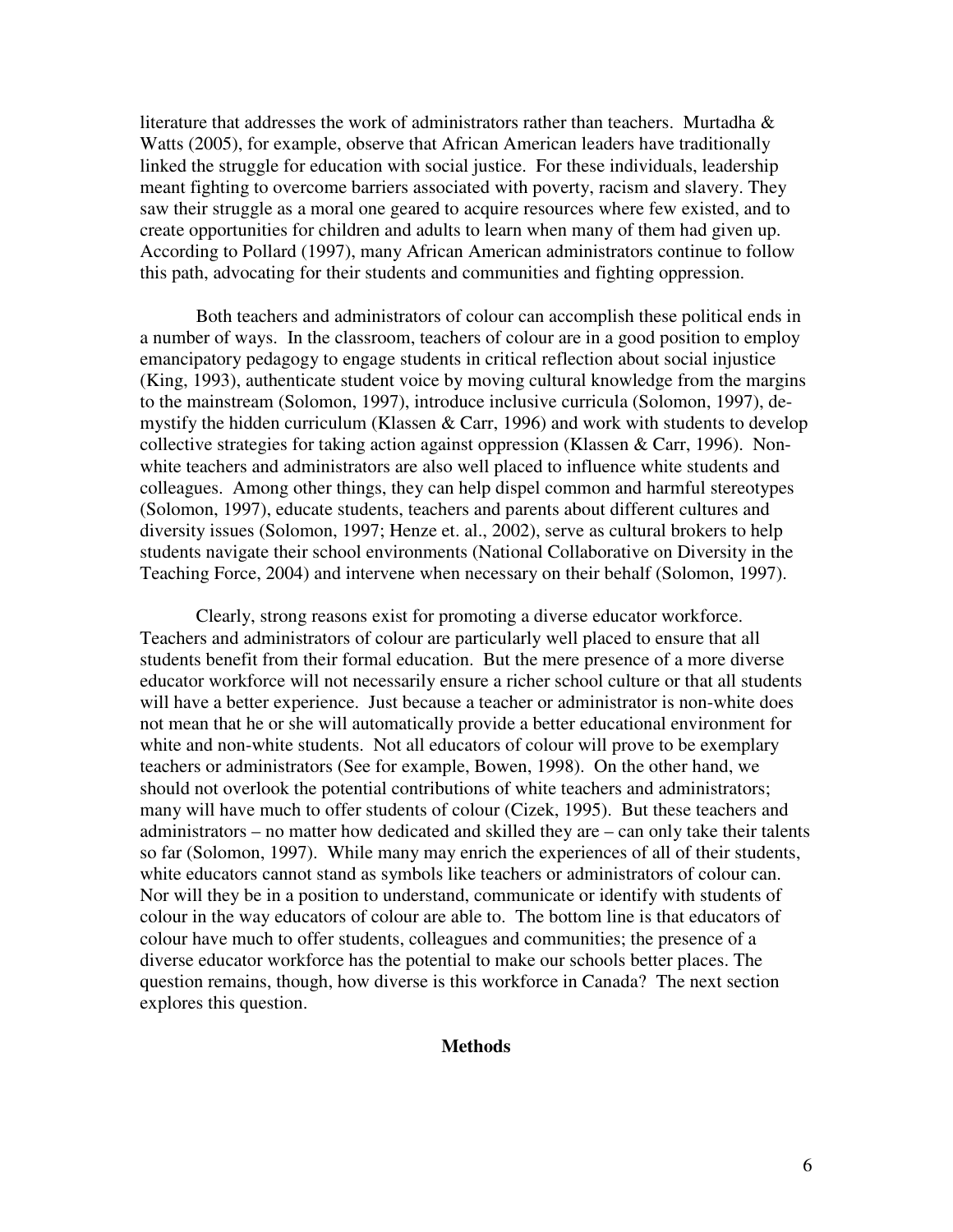literature that addresses the work of administrators rather than teachers. Murtadha  $\&$ Watts (2005), for example, observe that African American leaders have traditionally linked the struggle for education with social justice. For these individuals, leadership meant fighting to overcome barriers associated with poverty, racism and slavery. They saw their struggle as a moral one geared to acquire resources where few existed, and to create opportunities for children and adults to learn when many of them had given up. According to Pollard (1997), many African American administrators continue to follow this path, advocating for their students and communities and fighting oppression.

 Both teachers and administrators of colour can accomplish these political ends in a number of ways. In the classroom, teachers of colour are in a good position to employ emancipatory pedagogy to engage students in critical reflection about social injustice (King, 1993), authenticate student voice by moving cultural knowledge from the margins to the mainstream (Solomon, 1997), introduce inclusive curricula (Solomon, 1997), demystify the hidden curriculum (Klassen & Carr, 1996) and work with students to develop collective strategies for taking action against oppression (Klassen & Carr, 1996). Nonwhite teachers and administrators are also well placed to influence white students and colleagues. Among other things, they can help dispel common and harmful stereotypes (Solomon, 1997), educate students, teachers and parents about different cultures and diversity issues (Solomon, 1997; Henze et. al., 2002), serve as cultural brokers to help students navigate their school environments (National Collaborative on Diversity in the Teaching Force, 2004) and intervene when necessary on their behalf (Solomon, 1997).

 Clearly, strong reasons exist for promoting a diverse educator workforce. Teachers and administrators of colour are particularly well placed to ensure that all students benefit from their formal education. But the mere presence of a more diverse educator workforce will not necessarily ensure a richer school culture or that all students will have a better experience. Just because a teacher or administrator is non-white does not mean that he or she will automatically provide a better educational environment for white and non-white students. Not all educators of colour will prove to be exemplary teachers or administrators (See for example, Bowen, 1998). On the other hand, we should not overlook the potential contributions of white teachers and administrators; many will have much to offer students of colour (Cizek, 1995). But these teachers and administrators – no matter how dedicated and skilled they are – can only take their talents so far (Solomon, 1997). While many may enrich the experiences of all of their students, white educators cannot stand as symbols like teachers or administrators of colour can. Nor will they be in a position to understand, communicate or identify with students of colour in the way educators of colour are able to. The bottom line is that educators of colour have much to offer students, colleagues and communities; the presence of a diverse educator workforce has the potential to make our schools better places. The question remains, though, how diverse is this workforce in Canada? The next section explores this question.

### **Methods**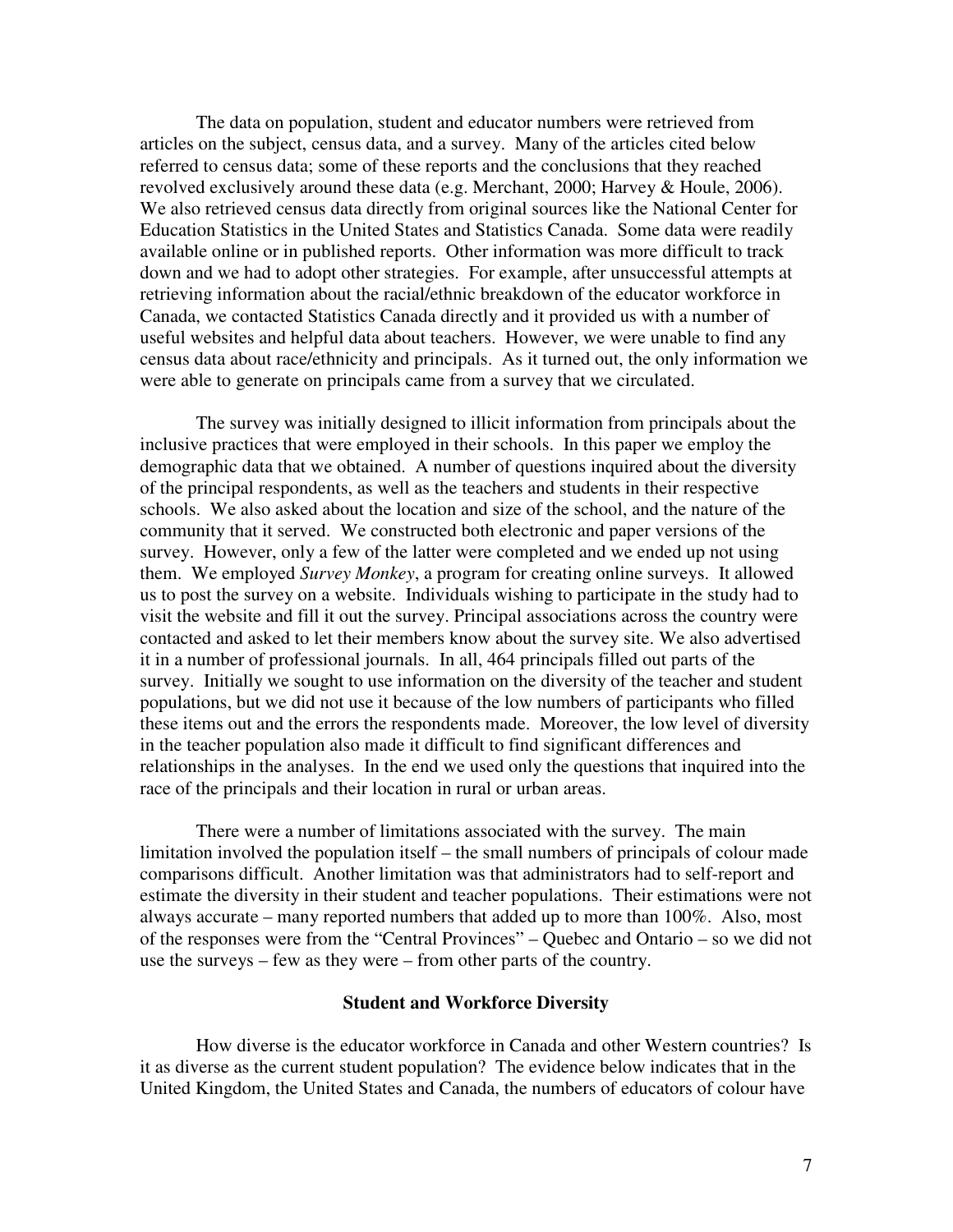The data on population, student and educator numbers were retrieved from articles on the subject, census data, and a survey. Many of the articles cited below referred to census data; some of these reports and the conclusions that they reached revolved exclusively around these data (e.g. Merchant, 2000; Harvey & Houle, 2006). We also retrieved census data directly from original sources like the National Center for Education Statistics in the United States and Statistics Canada. Some data were readily available online or in published reports. Other information was more difficult to track down and we had to adopt other strategies. For example, after unsuccessful attempts at retrieving information about the racial/ethnic breakdown of the educator workforce in Canada, we contacted Statistics Canada directly and it provided us with a number of useful websites and helpful data about teachers. However, we were unable to find any census data about race/ethnicity and principals. As it turned out, the only information we were able to generate on principals came from a survey that we circulated.

 The survey was initially designed to illicit information from principals about the inclusive practices that were employed in their schools. In this paper we employ the demographic data that we obtained. A number of questions inquired about the diversity of the principal respondents, as well as the teachers and students in their respective schools. We also asked about the location and size of the school, and the nature of the community that it served. We constructed both electronic and paper versions of the survey. However, only a few of the latter were completed and we ended up not using them. We employed *Survey Monkey*, a program for creating online surveys. It allowed us to post the survey on a website. Individuals wishing to participate in the study had to visit the website and fill it out the survey. Principal associations across the country were contacted and asked to let their members know about the survey site. We also advertised it in a number of professional journals. In all, 464 principals filled out parts of the survey. Initially we sought to use information on the diversity of the teacher and student populations, but we did not use it because of the low numbers of participants who filled these items out and the errors the respondents made. Moreover, the low level of diversity in the teacher population also made it difficult to find significant differences and relationships in the analyses. In the end we used only the questions that inquired into the race of the principals and their location in rural or urban areas.

There were a number of limitations associated with the survey. The main limitation involved the population itself – the small numbers of principals of colour made comparisons difficult. Another limitation was that administrators had to self-report and estimate the diversity in their student and teacher populations. Their estimations were not always accurate – many reported numbers that added up to more than 100%. Also, most of the responses were from the "Central Provinces" – Quebec and Ontario – so we did not use the surveys – few as they were – from other parts of the country.

### **Student and Workforce Diversity**

 How diverse is the educator workforce in Canada and other Western countries? Is it as diverse as the current student population? The evidence below indicates that in the United Kingdom, the United States and Canada, the numbers of educators of colour have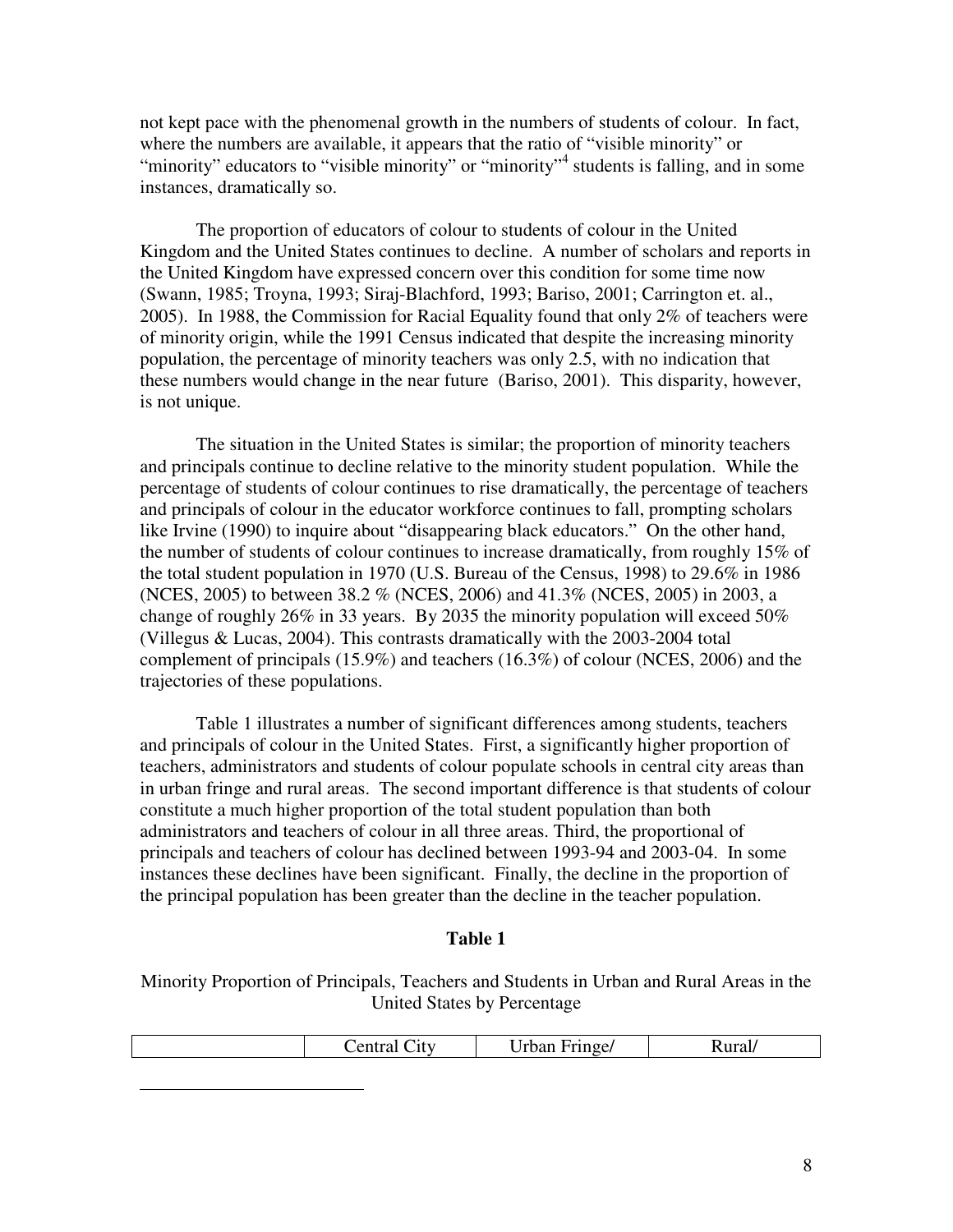not kept pace with the phenomenal growth in the numbers of students of colour. In fact, where the numbers are available, it appears that the ratio of "visible minority" or "minority" educators to "visible minority" or "minority"<sup>4</sup> students is falling, and in some instances, dramatically so.

 The proportion of educators of colour to students of colour in the United Kingdom and the United States continues to decline. A number of scholars and reports in the United Kingdom have expressed concern over this condition for some time now (Swann, 1985; Troyna, 1993; Siraj-Blachford, 1993; Bariso, 2001; Carrington et. al., 2005). In 1988, the Commission for Racial Equality found that only 2% of teachers were of minority origin, while the 1991 Census indicated that despite the increasing minority population, the percentage of minority teachers was only 2.5, with no indication that these numbers would change in the near future (Bariso, 2001). This disparity, however, is not unique.

 The situation in the United States is similar; the proportion of minority teachers and principals continue to decline relative to the minority student population. While the percentage of students of colour continues to rise dramatically, the percentage of teachers and principals of colour in the educator workforce continues to fall, prompting scholars like Irvine (1990) to inquire about "disappearing black educators." On the other hand, the number of students of colour continues to increase dramatically, from roughly 15% of the total student population in 1970 (U.S. Bureau of the Census, 1998) to 29.6% in 1986 (NCES, 2005) to between 38.2 % (NCES, 2006) and 41.3% (NCES, 2005) in 2003, a change of roughly 26% in 33 years. By 2035 the minority population will exceed 50% (Villegus & Lucas, 2004). This contrasts dramatically with the 2003-2004 total complement of principals (15.9%) and teachers (16.3%) of colour (NCES, 2006) and the trajectories of these populations.

Table 1 illustrates a number of significant differences among students, teachers and principals of colour in the United States. First, a significantly higher proportion of teachers, administrators and students of colour populate schools in central city areas than in urban fringe and rural areas. The second important difference is that students of colour constitute a much higher proportion of the total student population than both administrators and teachers of colour in all three areas. Third, the proportional of principals and teachers of colour has declined between 1993-94 and 2003-04. In some instances these declines have been significant. Finally, the decline in the proportion of the principal population has been greater than the decline in the teacher population.

#### **Table 1**

Minority Proportion of Principals, Teachers and Students in Urban and Rural Areas in the United States by Percentage

| Rural/<br>$r$ inge<br>.1tv<br>лшаг |
|------------------------------------|
|------------------------------------|

 $\overline{a}$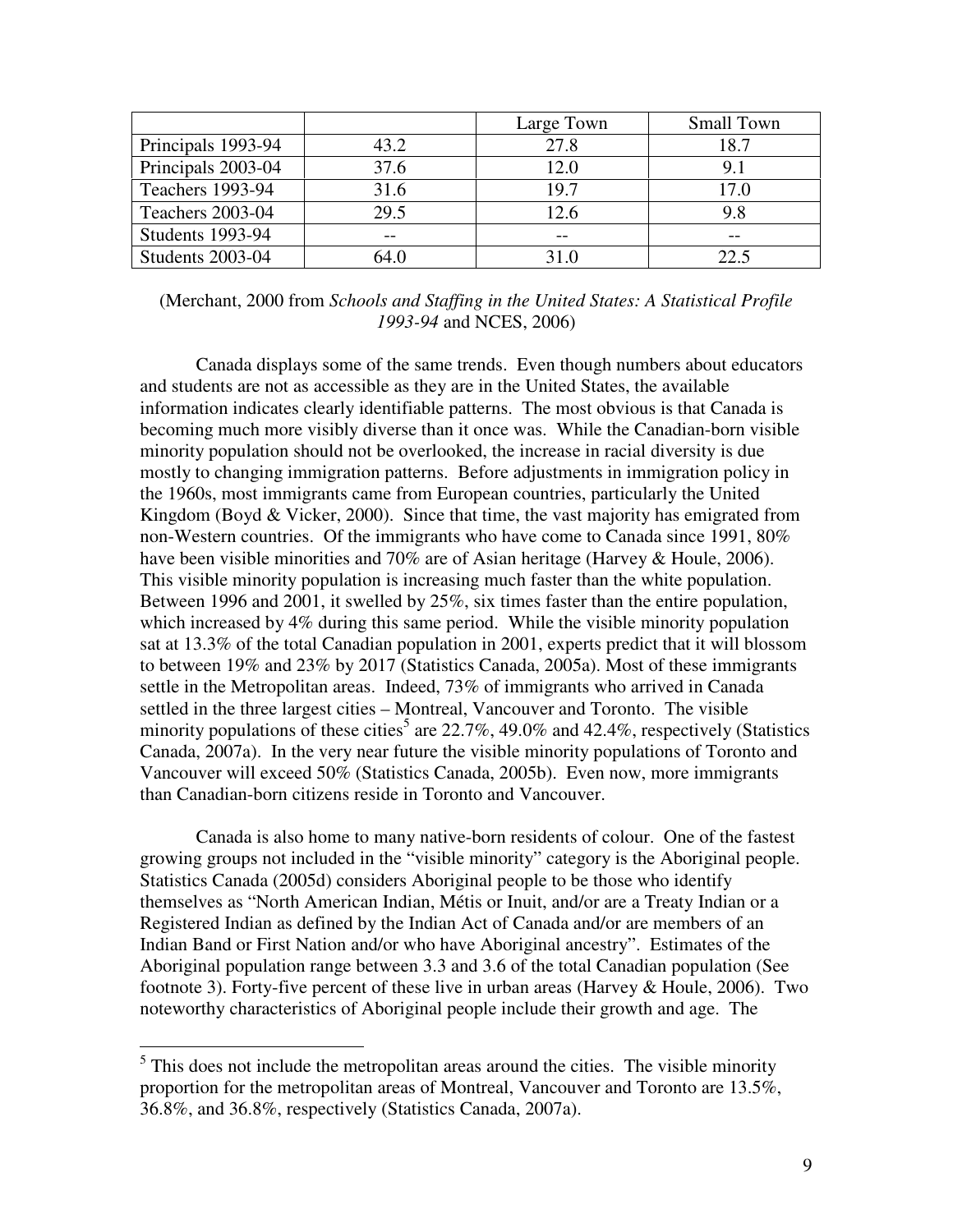|                         |       | Large Town | <b>Small Town</b> |
|-------------------------|-------|------------|-------------------|
| Principals 1993-94      | 43.2  | 27.8       | 18.7              |
| Principals 2003-04      | 37.6  | 12.0       | 9.1               |
| <b>Teachers 1993-94</b> | 31.6  | 19.7       | 17.0              |
| Teachers 2003-04        | 29.5  | 12.6       |                   |
| <b>Students 1993-94</b> | $- -$ | $- -$      | --                |
| Students 2003-04        | 64 O  | 31.O       | 22.5              |

(Merchant, 2000 from *Schools and Staffing in the United States: A Statistical Profile 1993-94* and NCES, 2006)

 Canada displays some of the same trends. Even though numbers about educators and students are not as accessible as they are in the United States, the available information indicates clearly identifiable patterns. The most obvious is that Canada is becoming much more visibly diverse than it once was. While the Canadian-born visible minority population should not be overlooked, the increase in racial diversity is due mostly to changing immigration patterns. Before adjustments in immigration policy in the 1960s, most immigrants came from European countries, particularly the United Kingdom (Boyd & Vicker, 2000). Since that time, the vast majority has emigrated from non-Western countries. Of the immigrants who have come to Canada since 1991, 80% have been visible minorities and 70% are of Asian heritage (Harvey & Houle, 2006). This visible minority population is increasing much faster than the white population. Between 1996 and 2001, it swelled by 25%, six times faster than the entire population, which increased by 4% during this same period. While the visible minority population sat at 13.3% of the total Canadian population in 2001, experts predict that it will blossom to between 19% and 23% by 2017 (Statistics Canada, 2005a). Most of these immigrants settle in the Metropolitan areas. Indeed, 73% of immigrants who arrived in Canada settled in the three largest cities – Montreal, Vancouver and Toronto. The visible minority populations of these cities<sup>5</sup> are 22.7%, 49.0% and 42.4%, respectively (Statistics Canada, 2007a). In the very near future the visible minority populations of Toronto and Vancouver will exceed 50% (Statistics Canada, 2005b). Even now, more immigrants than Canadian-born citizens reside in Toronto and Vancouver.

 Canada is also home to many native-born residents of colour. One of the fastest growing groups not included in the "visible minority" category is the Aboriginal people. Statistics Canada (2005d) considers Aboriginal people to be those who identify themselves as "North American Indian, Métis or Inuit, and/or are a Treaty Indian or a Registered Indian as defined by the Indian Act of Canada and/or are members of an Indian Band or First Nation and/or who have Aboriginal ancestry". Estimates of the Aboriginal population range between 3.3 and 3.6 of the total Canadian population (See footnote 3). Forty-five percent of these live in urban areas (Harvey & Houle, 2006). Two noteworthy characteristics of Aboriginal people include their growth and age. The

<sup>&</sup>lt;sup>5</sup> This does not include the metropolitan areas around the cities. The visible minority proportion for the metropolitan areas of Montreal, Vancouver and Toronto are 13.5%, 36.8%, and 36.8%, respectively (Statistics Canada, 2007a).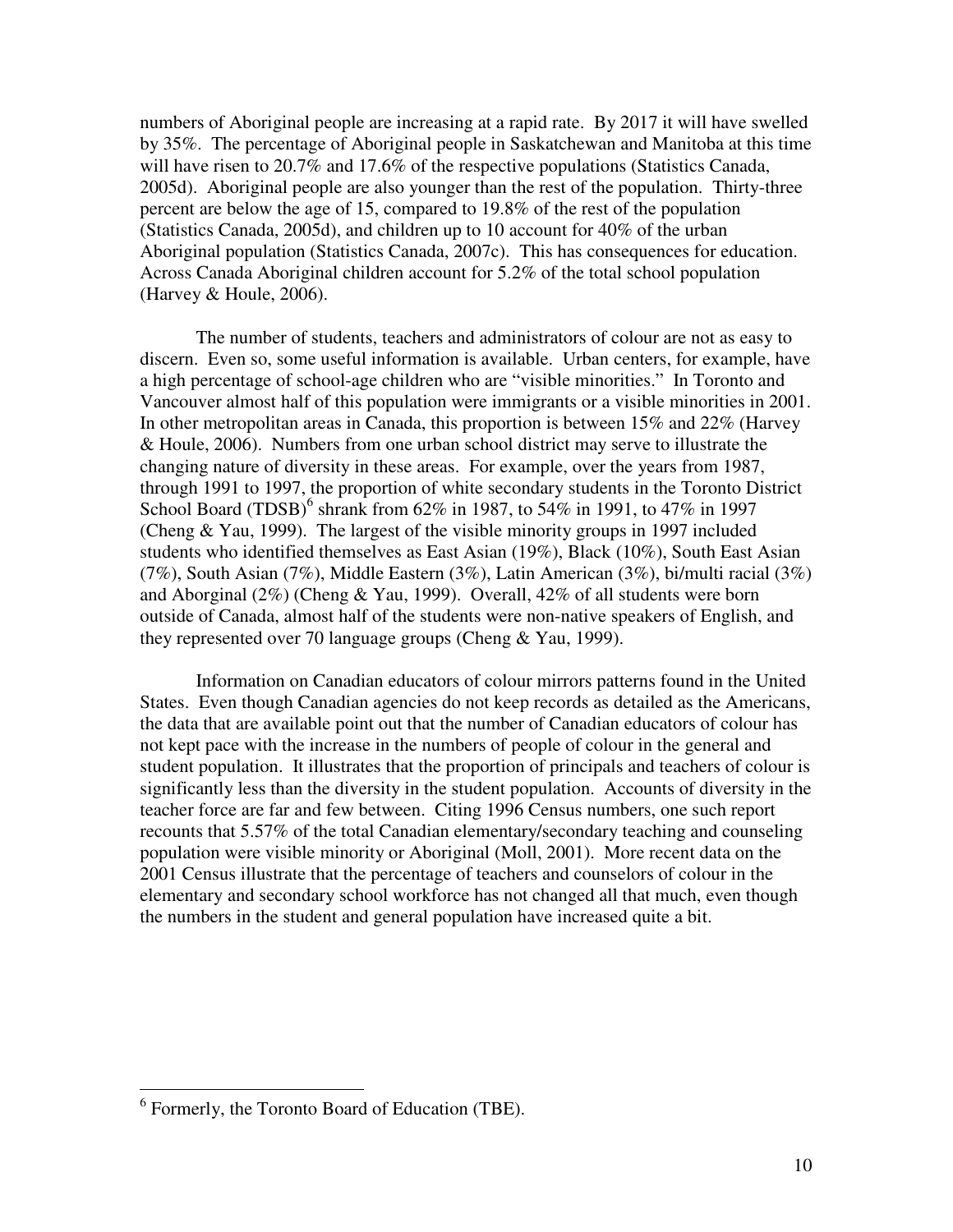numbers of Aboriginal people are increasing at a rapid rate. By 2017 it will have swelled by 35%. The percentage of Aboriginal people in Saskatchewan and Manitoba at this time will have risen to 20.7% and 17.6% of the respective populations (Statistics Canada, 2005d). Aboriginal people are also younger than the rest of the population. Thirty-three percent are below the age of 15, compared to 19.8% of the rest of the population (Statistics Canada, 2005d), and children up to 10 account for 40% of the urban Aboriginal population (Statistics Canada, 2007c). This has consequences for education. Across Canada Aboriginal children account for 5.2% of the total school population (Harvey & Houle, 2006).

 The number of students, teachers and administrators of colour are not as easy to discern. Even so, some useful information is available. Urban centers, for example, have a high percentage of school-age children who are "visible minorities." In Toronto and Vancouver almost half of this population were immigrants or a visible minorities in 2001. In other metropolitan areas in Canada, this proportion is between 15% and 22% (Harvey & Houle, 2006). Numbers from one urban school district may serve to illustrate the changing nature of diversity in these areas. For example, over the years from 1987, through 1991 to 1997, the proportion of white secondary students in the Toronto District School Board (TDSB)<sup>6</sup> shrank from 62% in 1987, to 54% in 1991, to 47% in 1997 (Cheng & Yau, 1999). The largest of the visible minority groups in 1997 included students who identified themselves as East Asian (19%), Black (10%), South East Asian (7%), South Asian (7%), Middle Eastern (3%), Latin American (3%), bi/multi racial (3%) and Aborginal (2%) (Cheng & Yau, 1999). Overall, 42% of all students were born outside of Canada, almost half of the students were non-native speakers of English, and they represented over 70 language groups (Cheng & Yau, 1999).

 Information on Canadian educators of colour mirrors patterns found in the United States. Even though Canadian agencies do not keep records as detailed as the Americans, the data that are available point out that the number of Canadian educators of colour has not kept pace with the increase in the numbers of people of colour in the general and student population. It illustrates that the proportion of principals and teachers of colour is significantly less than the diversity in the student population. Accounts of diversity in the teacher force are far and few between. Citing 1996 Census numbers, one such report recounts that 5.57% of the total Canadian elementary/secondary teaching and counseling population were visible minority or Aboriginal (Moll, 2001). More recent data on the 2001 Census illustrate that the percentage of teachers and counselors of colour in the elementary and secondary school workforce has not changed all that much, even though the numbers in the student and general population have increased quite a bit.

 6 Formerly, the Toronto Board of Education (TBE).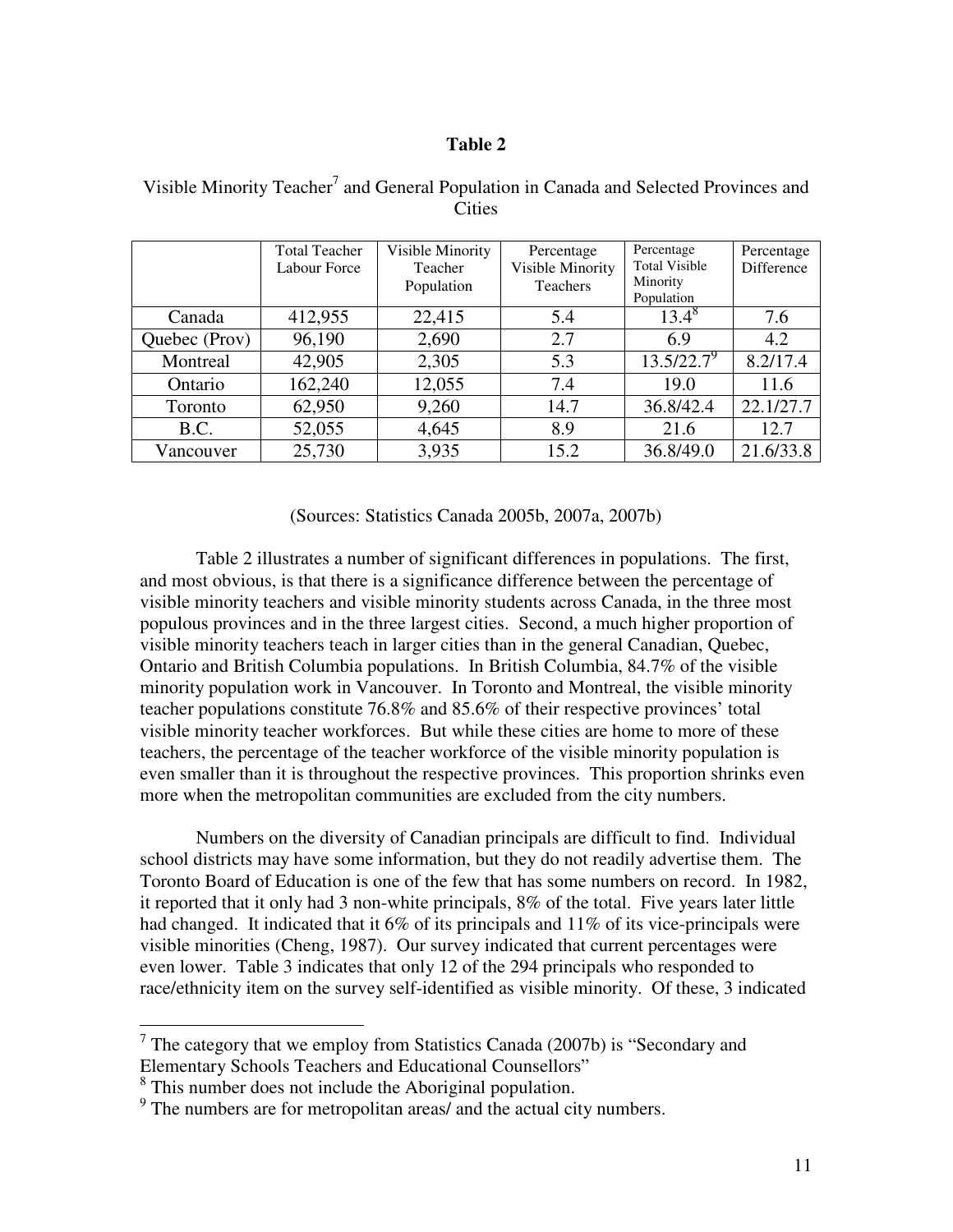## **Table 2**

|               | <b>Total Teacher</b><br>Labour Force | Visible Minority<br>Teacher<br>Population | Percentage<br>Visible Minority<br>Teachers | Percentage<br><b>Total Visible</b><br>Minority<br>Population | Percentage<br>Difference |
|---------------|--------------------------------------|-------------------------------------------|--------------------------------------------|--------------------------------------------------------------|--------------------------|
| Canada        | 412,955                              | 22,415                                    | 5.4                                        | $13.4^{8}$                                                   | 7.6                      |
| Quebec (Prov) | 96,190                               | 2,690                                     | 2.7                                        | 6.9                                                          | 4.2                      |
| Montreal      | 42,905                               | 2,305                                     | 5.3                                        | $13.5/22.7^9$                                                | 8.2/17.4                 |
| Ontario       | 162,240                              | 12,055                                    | 7.4                                        | 19.0                                                         | 11.6                     |
| Toronto       | 62,950                               | 9,260                                     | 14.7                                       | 36.8/42.4                                                    | 22.1/27.7                |
| B.C.          | 52,055                               | 4,645                                     | 8.9                                        | 21.6                                                         | 12.7                     |
| Vancouver     | 25,730                               | 3,935                                     | 15.2                                       | 36.8/49.0                                                    | 21.6/33.8                |

Visible Minority Teacher<sup>7</sup> and General Population in Canada and Selected Provinces and **Cities** 

(Sources: Statistics Canada 2005b, 2007a, 2007b)

Table 2 illustrates a number of significant differences in populations. The first, and most obvious, is that there is a significance difference between the percentage of visible minority teachers and visible minority students across Canada, in the three most populous provinces and in the three largest cities. Second, a much higher proportion of visible minority teachers teach in larger cities than in the general Canadian, Quebec, Ontario and British Columbia populations. In British Columbia, 84.7% of the visible minority population work in Vancouver. In Toronto and Montreal, the visible minority teacher populations constitute 76.8% and 85.6% of their respective provinces' total visible minority teacher workforces. But while these cities are home to more of these teachers, the percentage of the teacher workforce of the visible minority population is even smaller than it is throughout the respective provinces. This proportion shrinks even more when the metropolitan communities are excluded from the city numbers.

 Numbers on the diversity of Canadian principals are difficult to find. Individual school districts may have some information, but they do not readily advertise them. The Toronto Board of Education is one of the few that has some numbers on record. In 1982, it reported that it only had 3 non-white principals, 8% of the total. Five years later little had changed. It indicated that it 6% of its principals and 11% of its vice-principals were visible minorities (Cheng, 1987). Our survey indicated that current percentages were even lower. Table 3 indicates that only 12 of the 294 principals who responded to race/ethnicity item on the survey self-identified as visible minority. Of these, 3 indicated

<sup>&</sup>lt;sup>7</sup> The category that we employ from Statistics Canada (2007b) is "Secondary and Elementary Schools Teachers and Educational Counsellors"

<sup>&</sup>lt;sup>8</sup> This number does not include the Aboriginal population.

<sup>&</sup>lt;sup>9</sup> The numbers are for metropolitan areas/ and the actual city numbers.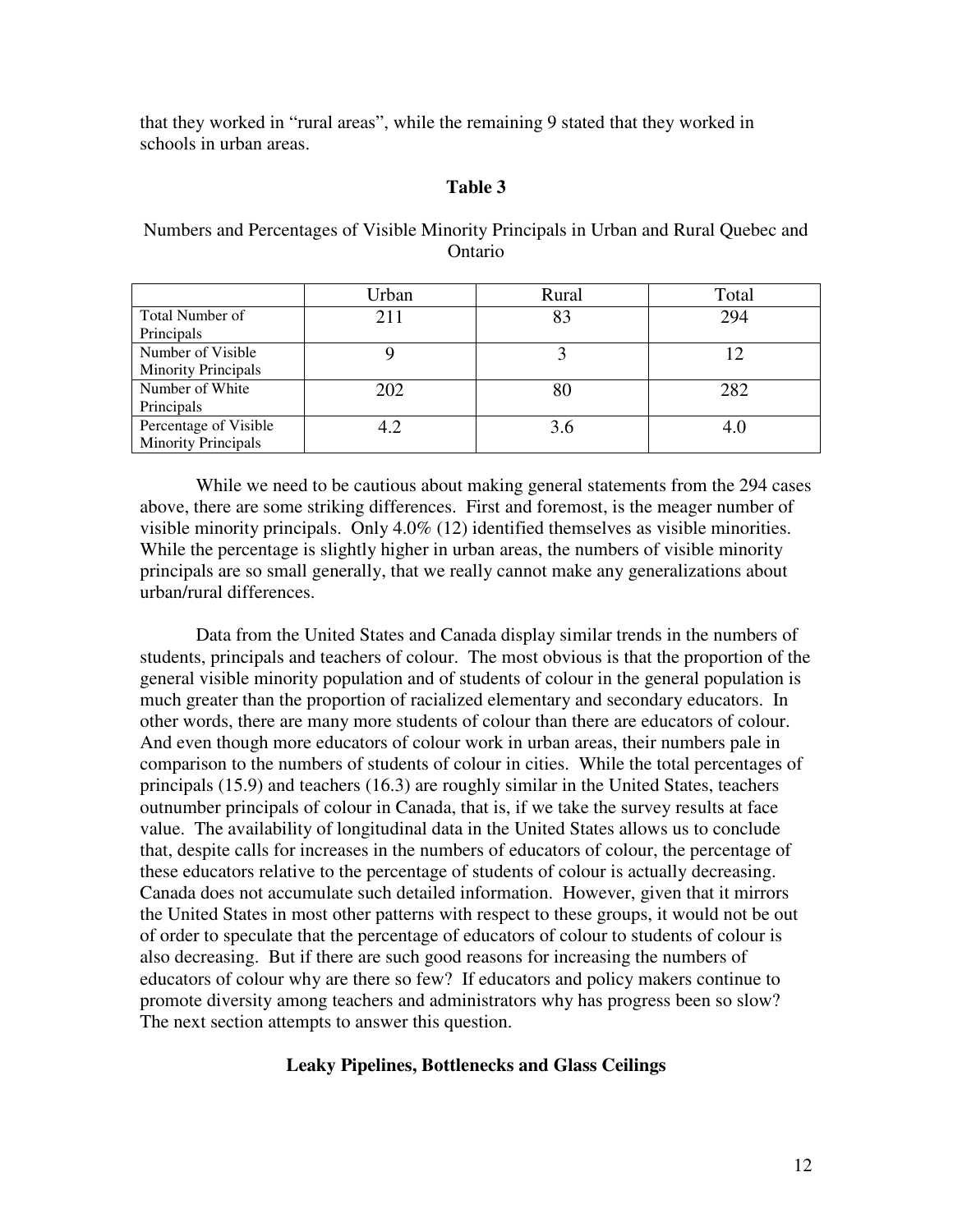that they worked in "rural areas", while the remaining 9 stated that they worked in schools in urban areas.

## **Table 3**

Numbers and Percentages of Visible Minority Principals in Urban and Rural Quebec and Ontario

|                            | Urban | Rural | Total |
|----------------------------|-------|-------|-------|
| Total Number of            | 211   | 83    | 294   |
| Principals                 |       |       |       |
| Number of Visible          |       |       |       |
| <b>Minority Principals</b> |       |       |       |
| Number of White            | 202   | 80    | 282   |
| Principals                 |       |       |       |
| Percentage of Visible      | 4.2   | 3.6   |       |
| <b>Minority Principals</b> |       |       |       |

 While we need to be cautious about making general statements from the 294 cases above, there are some striking differences. First and foremost, is the meager number of visible minority principals. Only 4.0% (12) identified themselves as visible minorities. While the percentage is slightly higher in urban areas, the numbers of visible minority principals are so small generally, that we really cannot make any generalizations about urban/rural differences.

 Data from the United States and Canada display similar trends in the numbers of students, principals and teachers of colour. The most obvious is that the proportion of the general visible minority population and of students of colour in the general population is much greater than the proportion of racialized elementary and secondary educators. In other words, there are many more students of colour than there are educators of colour. And even though more educators of colour work in urban areas, their numbers pale in comparison to the numbers of students of colour in cities. While the total percentages of principals (15.9) and teachers (16.3) are roughly similar in the United States, teachers outnumber principals of colour in Canada, that is, if we take the survey results at face value. The availability of longitudinal data in the United States allows us to conclude that, despite calls for increases in the numbers of educators of colour, the percentage of these educators relative to the percentage of students of colour is actually decreasing. Canada does not accumulate such detailed information. However, given that it mirrors the United States in most other patterns with respect to these groups, it would not be out of order to speculate that the percentage of educators of colour to students of colour is also decreasing. But if there are such good reasons for increasing the numbers of educators of colour why are there so few? If educators and policy makers continue to promote diversity among teachers and administrators why has progress been so slow? The next section attempts to answer this question.

## **Leaky Pipelines, Bottlenecks and Glass Ceilings**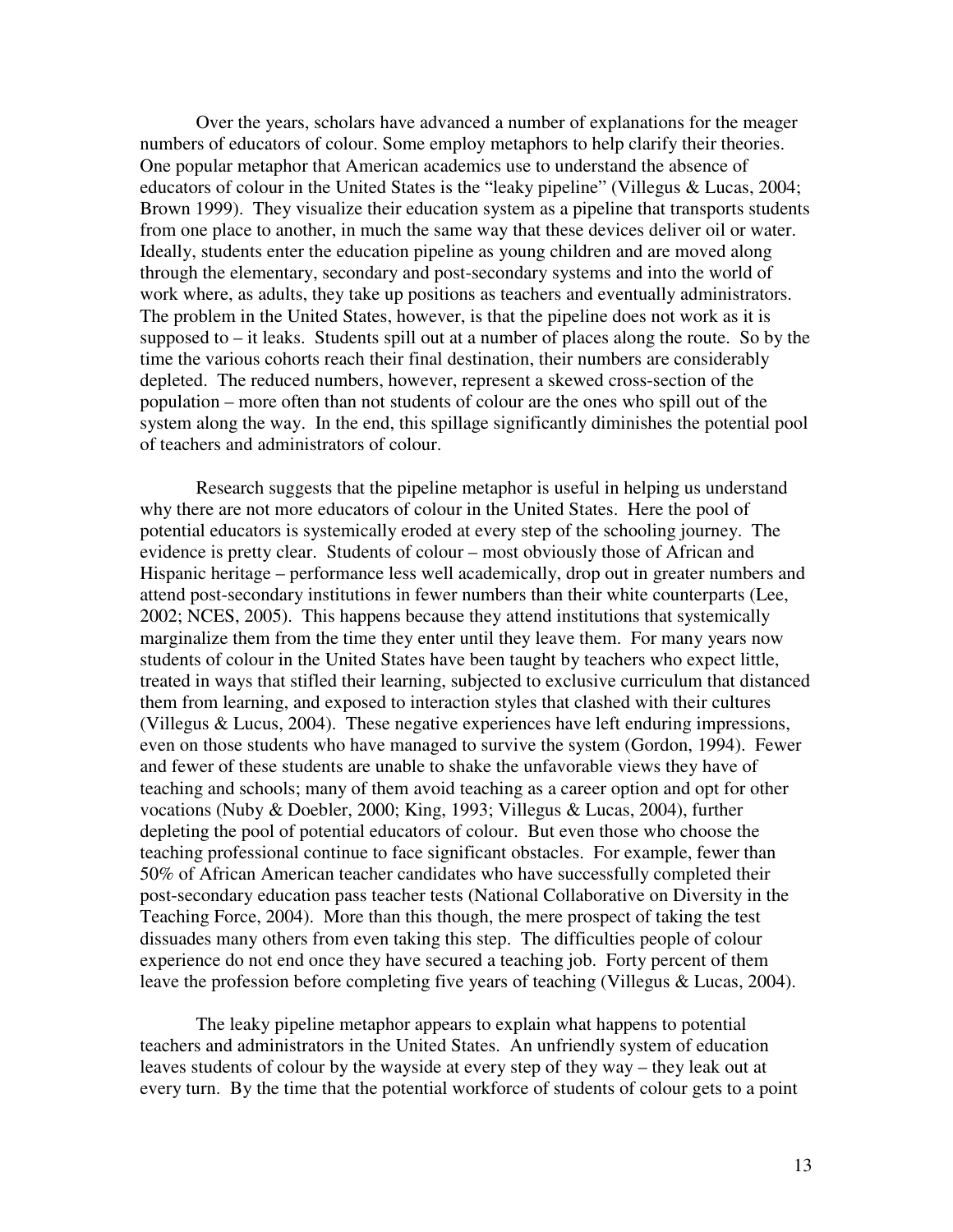Over the years, scholars have advanced a number of explanations for the meager numbers of educators of colour. Some employ metaphors to help clarify their theories. One popular metaphor that American academics use to understand the absence of educators of colour in the United States is the "leaky pipeline" (Villegus & Lucas, 2004; Brown 1999). They visualize their education system as a pipeline that transports students from one place to another, in much the same way that these devices deliver oil or water. Ideally, students enter the education pipeline as young children and are moved along through the elementary, secondary and post-secondary systems and into the world of work where, as adults, they take up positions as teachers and eventually administrators. The problem in the United States, however, is that the pipeline does not work as it is supposed to  $-$  it leaks. Students spill out at a number of places along the route. So by the time the various cohorts reach their final destination, their numbers are considerably depleted. The reduced numbers, however, represent a skewed cross-section of the population – more often than not students of colour are the ones who spill out of the system along the way. In the end, this spillage significantly diminishes the potential pool of teachers and administrators of colour.

 Research suggests that the pipeline metaphor is useful in helping us understand why there are not more educators of colour in the United States. Here the pool of potential educators is systemically eroded at every step of the schooling journey. The evidence is pretty clear. Students of colour – most obviously those of African and Hispanic heritage – performance less well academically, drop out in greater numbers and attend post-secondary institutions in fewer numbers than their white counterparts (Lee, 2002; NCES, 2005). This happens because they attend institutions that systemically marginalize them from the time they enter until they leave them. For many years now students of colour in the United States have been taught by teachers who expect little, treated in ways that stifled their learning, subjected to exclusive curriculum that distanced them from learning, and exposed to interaction styles that clashed with their cultures (Villegus & Lucus, 2004). These negative experiences have left enduring impressions, even on those students who have managed to survive the system (Gordon, 1994). Fewer and fewer of these students are unable to shake the unfavorable views they have of teaching and schools; many of them avoid teaching as a career option and opt for other vocations (Nuby & Doebler, 2000; King, 1993; Villegus & Lucas, 2004), further depleting the pool of potential educators of colour. But even those who choose the teaching professional continue to face significant obstacles. For example, fewer than 50% of African American teacher candidates who have successfully completed their post-secondary education pass teacher tests (National Collaborative on Diversity in the Teaching Force, 2004). More than this though, the mere prospect of taking the test dissuades many others from even taking this step. The difficulties people of colour experience do not end once they have secured a teaching job. Forty percent of them leave the profession before completing five years of teaching (Villegus & Lucas, 2004).

 The leaky pipeline metaphor appears to explain what happens to potential teachers and administrators in the United States. An unfriendly system of education leaves students of colour by the wayside at every step of they way – they leak out at every turn. By the time that the potential workforce of students of colour gets to a point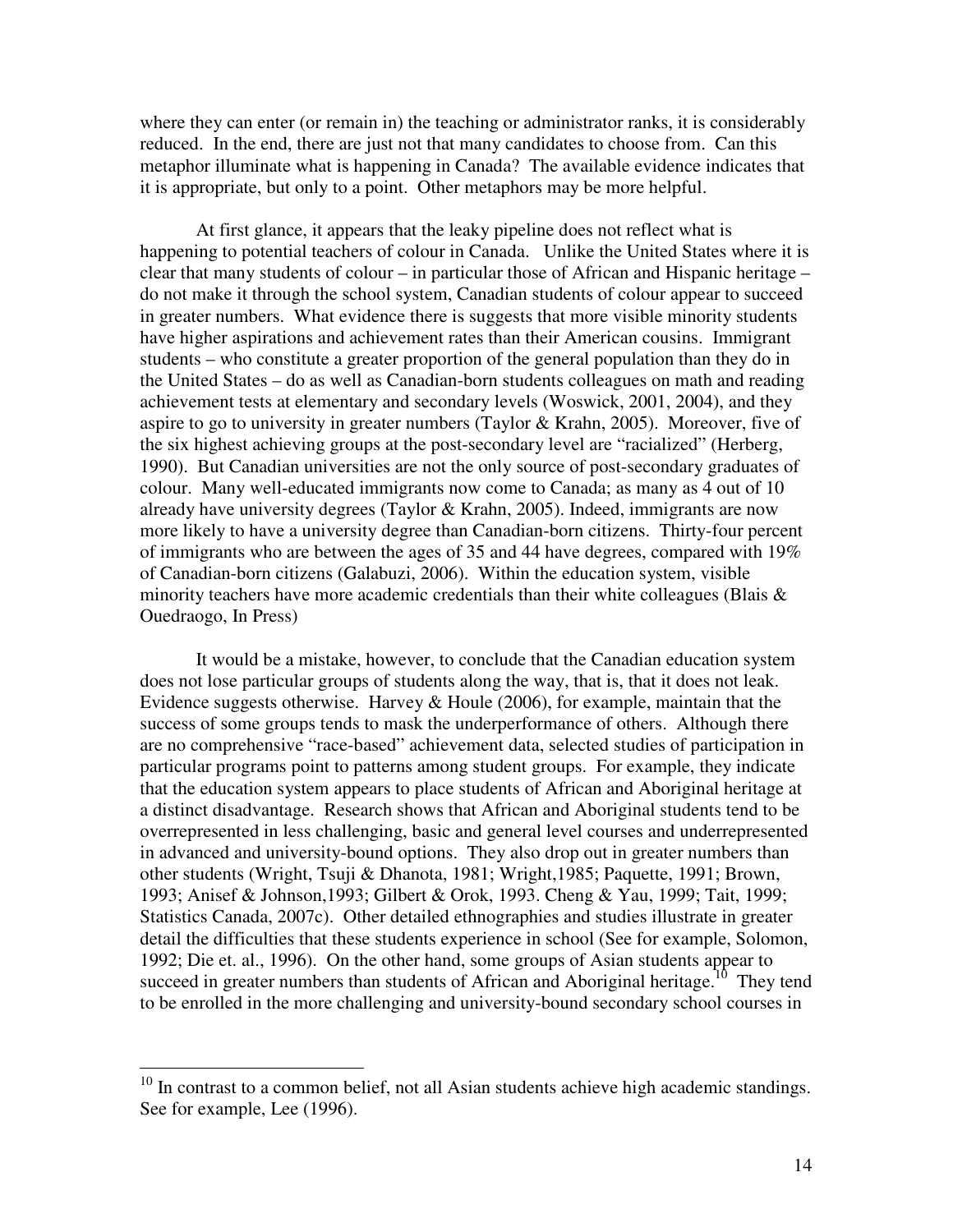where they can enter (or remain in) the teaching or administrator ranks, it is considerably reduced. In the end, there are just not that many candidates to choose from. Can this metaphor illuminate what is happening in Canada? The available evidence indicates that it is appropriate, but only to a point. Other metaphors may be more helpful.

 At first glance, it appears that the leaky pipeline does not reflect what is happening to potential teachers of colour in Canada. Unlike the United States where it is clear that many students of colour – in particular those of African and Hispanic heritage – do not make it through the school system, Canadian students of colour appear to succeed in greater numbers. What evidence there is suggests that more visible minority students have higher aspirations and achievement rates than their American cousins. Immigrant students – who constitute a greater proportion of the general population than they do in the United States – do as well as Canadian-born students colleagues on math and reading achievement tests at elementary and secondary levels (Woswick, 2001, 2004), and they aspire to go to university in greater numbers (Taylor & Krahn, 2005). Moreover, five of the six highest achieving groups at the post-secondary level are "racialized" (Herberg, 1990). But Canadian universities are not the only source of post-secondary graduates of colour. Many well-educated immigrants now come to Canada; as many as 4 out of 10 already have university degrees (Taylor & Krahn, 2005). Indeed, immigrants are now more likely to have a university degree than Canadian-born citizens. Thirty-four percent of immigrants who are between the ages of 35 and 44 have degrees, compared with 19% of Canadian-born citizens (Galabuzi, 2006). Within the education system, visible minority teachers have more academic credentials than their white colleagues (Blais  $\&$ Ouedraogo, In Press)

 It would be a mistake, however, to conclude that the Canadian education system does not lose particular groups of students along the way, that is, that it does not leak. Evidence suggests otherwise. Harvey  $&$  Houle (2006), for example, maintain that the success of some groups tends to mask the underperformance of others. Although there are no comprehensive "race-based" achievement data, selected studies of participation in particular programs point to patterns among student groups. For example, they indicate that the education system appears to place students of African and Aboriginal heritage at a distinct disadvantage. Research shows that African and Aboriginal students tend to be overrepresented in less challenging, basic and general level courses and underrepresented in advanced and university-bound options. They also drop out in greater numbers than other students (Wright, Tsuji & Dhanota, 1981; Wright,1985; Paquette, 1991; Brown, 1993; Anisef & Johnson,1993; Gilbert & Orok, 1993. Cheng & Yau, 1999; Tait, 1999; Statistics Canada, 2007c). Other detailed ethnographies and studies illustrate in greater detail the difficulties that these students experience in school (See for example, Solomon, 1992; Die et. al., 1996). On the other hand, some groups of Asian students appear to succeed in greater numbers than students of African and Aboriginal heritage.<sup>10</sup> They tend to be enrolled in the more challenging and university-bound secondary school courses in

 $\overline{\phantom{a}}$ 

 $10$  In contrast to a common belief, not all Asian students achieve high academic standings. See for example, Lee (1996).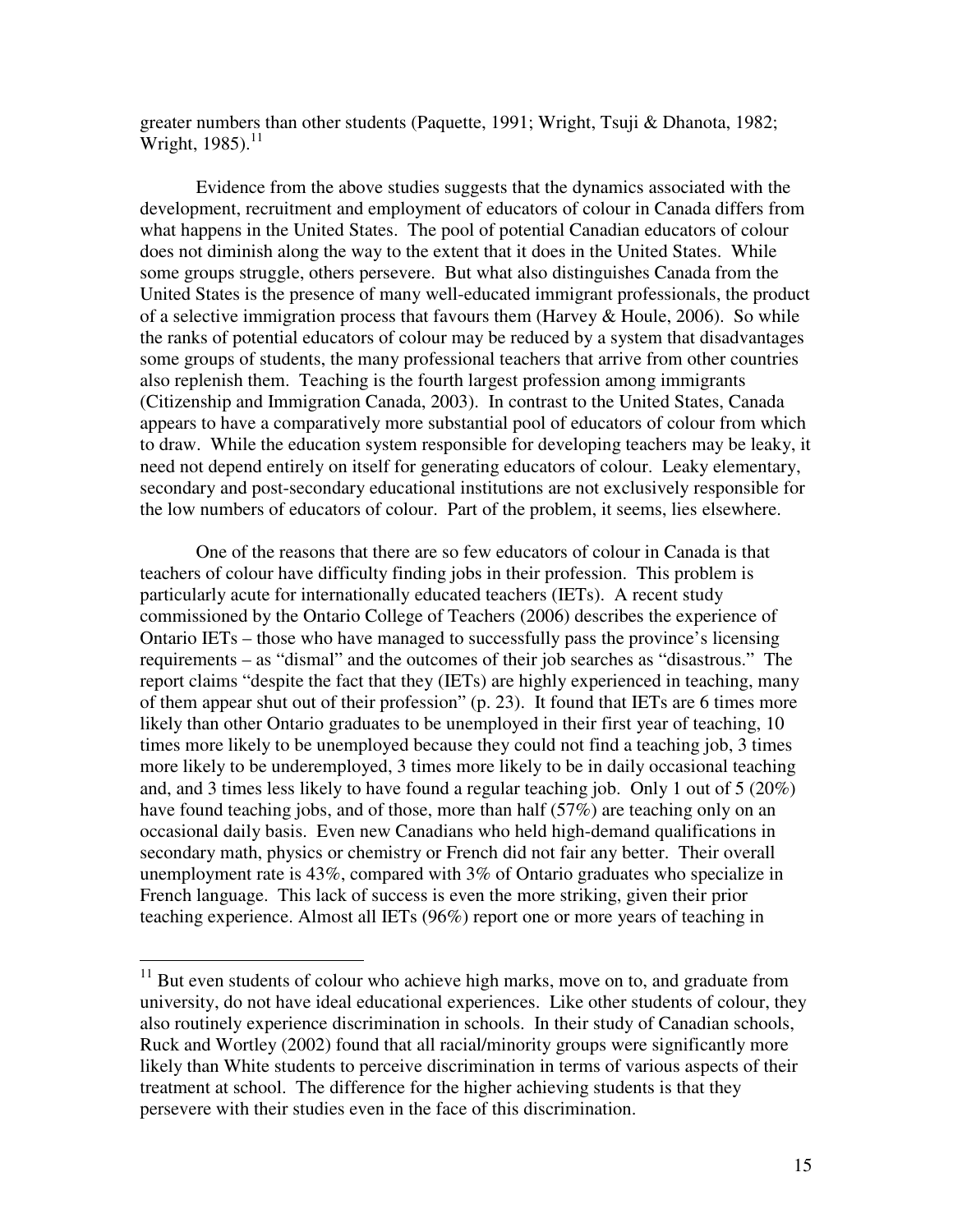greater numbers than other students (Paquette, 1991; Wright, Tsuji & Dhanota, 1982; Wright,  $1985$ ).<sup>11</sup>

Evidence from the above studies suggests that the dynamics associated with the development, recruitment and employment of educators of colour in Canada differs from what happens in the United States. The pool of potential Canadian educators of colour does not diminish along the way to the extent that it does in the United States. While some groups struggle, others persevere. But what also distinguishes Canada from the United States is the presence of many well-educated immigrant professionals, the product of a selective immigration process that favours them (Harvey & Houle, 2006). So while the ranks of potential educators of colour may be reduced by a system that disadvantages some groups of students, the many professional teachers that arrive from other countries also replenish them. Teaching is the fourth largest profession among immigrants (Citizenship and Immigration Canada, 2003). In contrast to the United States, Canada appears to have a comparatively more substantial pool of educators of colour from which to draw. While the education system responsible for developing teachers may be leaky, it need not depend entirely on itself for generating educators of colour. Leaky elementary, secondary and post-secondary educational institutions are not exclusively responsible for the low numbers of educators of colour. Part of the problem, it seems, lies elsewhere.

One of the reasons that there are so few educators of colour in Canada is that teachers of colour have difficulty finding jobs in their profession. This problem is particularly acute for internationally educated teachers (IETs). A recent study commissioned by the Ontario College of Teachers (2006) describes the experience of Ontario IETs – those who have managed to successfully pass the province's licensing requirements – as "dismal" and the outcomes of their job searches as "disastrous." The report claims "despite the fact that they (IETs) are highly experienced in teaching, many of them appear shut out of their profession" (p. 23). It found that IETs are 6 times more likely than other Ontario graduates to be unemployed in their first year of teaching, 10 times more likely to be unemployed because they could not find a teaching job, 3 times more likely to be underemployed, 3 times more likely to be in daily occasional teaching and, and 3 times less likely to have found a regular teaching job. Only 1 out of 5 (20%) have found teaching jobs, and of those, more than half (57%) are teaching only on an occasional daily basis. Even new Canadians who held high-demand qualifications in secondary math, physics or chemistry or French did not fair any better. Their overall unemployment rate is 43%, compared with 3% of Ontario graduates who specialize in French language. This lack of success is even the more striking, given their prior teaching experience. Almost all IETs (96%) report one or more years of teaching in

 $\overline{\phantom{a}}$ 

 $11$  But even students of colour who achieve high marks, move on to, and graduate from university, do not have ideal educational experiences. Like other students of colour, they also routinely experience discrimination in schools. In their study of Canadian schools, Ruck and Wortley (2002) found that all racial/minority groups were significantly more likely than White students to perceive discrimination in terms of various aspects of their treatment at school. The difference for the higher achieving students is that they persevere with their studies even in the face of this discrimination.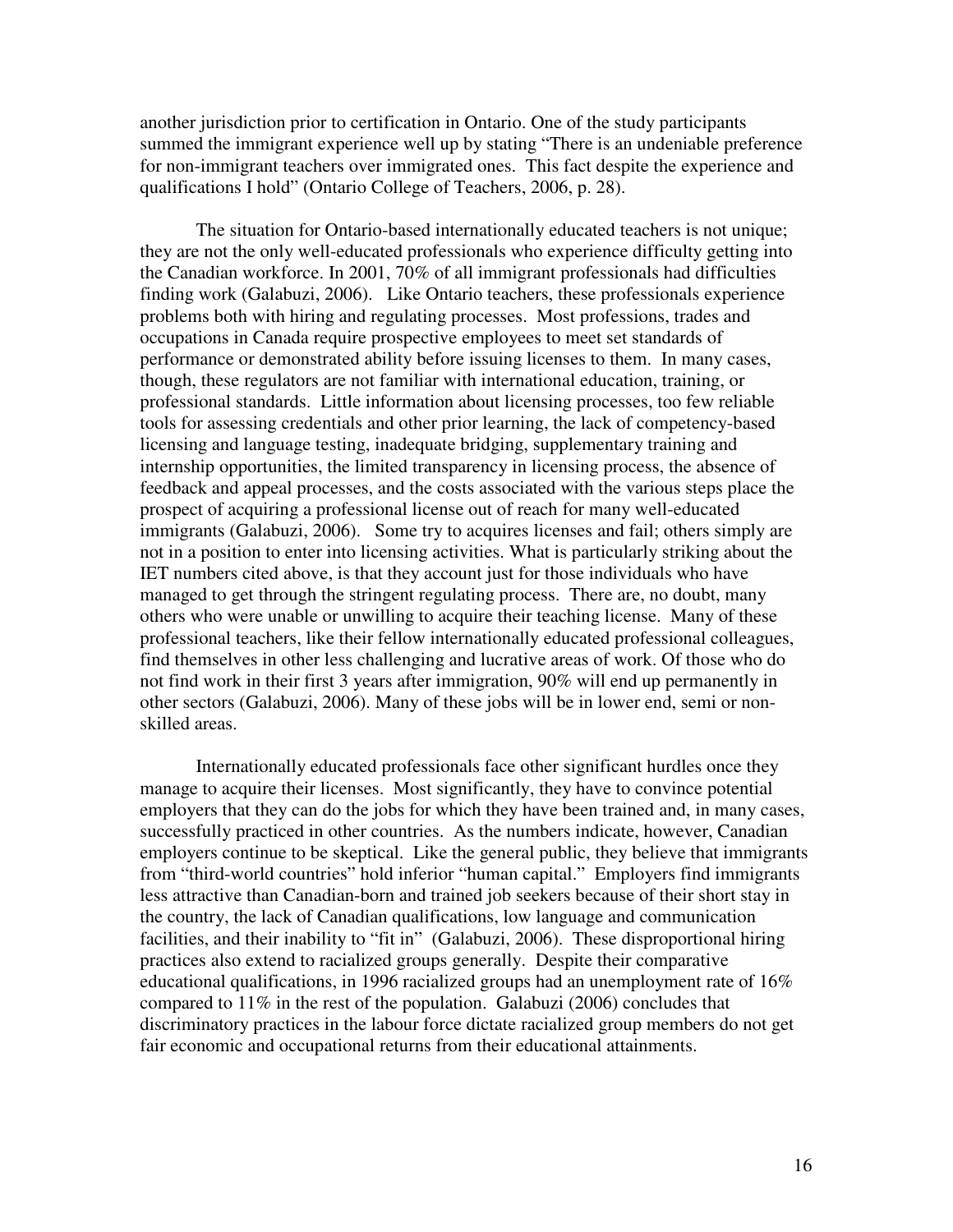another jurisdiction prior to certification in Ontario. One of the study participants summed the immigrant experience well up by stating "There is an undeniable preference for non-immigrant teachers over immigrated ones. This fact despite the experience and qualifications I hold" (Ontario College of Teachers, 2006, p. 28).

The situation for Ontario-based internationally educated teachers is not unique; they are not the only well-educated professionals who experience difficulty getting into the Canadian workforce. In 2001, 70% of all immigrant professionals had difficulties finding work (Galabuzi, 2006). Like Ontario teachers, these professionals experience problems both with hiring and regulating processes. Most professions, trades and occupations in Canada require prospective employees to meet set standards of performance or demonstrated ability before issuing licenses to them. In many cases, though, these regulators are not familiar with international education, training, or professional standards. Little information about licensing processes, too few reliable tools for assessing credentials and other prior learning, the lack of competency-based licensing and language testing, inadequate bridging, supplementary training and internship opportunities, the limited transparency in licensing process, the absence of feedback and appeal processes, and the costs associated with the various steps place the prospect of acquiring a professional license out of reach for many well-educated immigrants (Galabuzi, 2006). Some try to acquires licenses and fail; others simply are not in a position to enter into licensing activities. What is particularly striking about the IET numbers cited above, is that they account just for those individuals who have managed to get through the stringent regulating process. There are, no doubt, many others who were unable or unwilling to acquire their teaching license. Many of these professional teachers, like their fellow internationally educated professional colleagues, find themselves in other less challenging and lucrative areas of work. Of those who do not find work in their first 3 years after immigration, 90% will end up permanently in other sectors (Galabuzi, 2006). Many of these jobs will be in lower end, semi or nonskilled areas.

Internationally educated professionals face other significant hurdles once they manage to acquire their licenses. Most significantly, they have to convince potential employers that they can do the jobs for which they have been trained and, in many cases, successfully practiced in other countries. As the numbers indicate, however, Canadian employers continue to be skeptical. Like the general public, they believe that immigrants from "third-world countries" hold inferior "human capital." Employers find immigrants less attractive than Canadian-born and trained job seekers because of their short stay in the country, the lack of Canadian qualifications, low language and communication facilities, and their inability to "fit in" (Galabuzi, 2006). These disproportional hiring practices also extend to racialized groups generally. Despite their comparative educational qualifications, in 1996 racialized groups had an unemployment rate of 16% compared to 11% in the rest of the population. Galabuzi (2006) concludes that discriminatory practices in the labour force dictate racialized group members do not get fair economic and occupational returns from their educational attainments.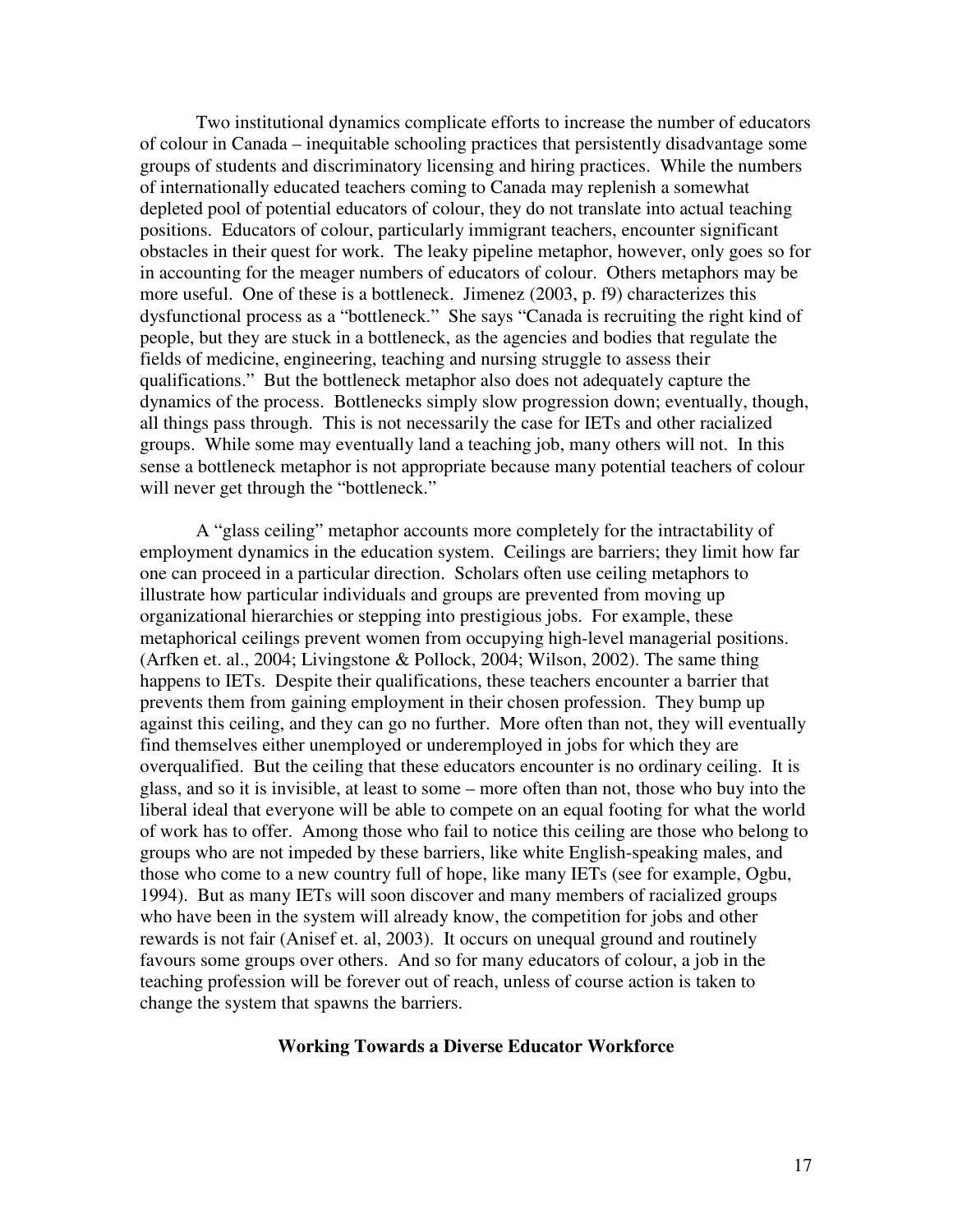Two institutional dynamics complicate efforts to increase the number of educators of colour in Canada – inequitable schooling practices that persistently disadvantage some groups of students and discriminatory licensing and hiring practices. While the numbers of internationally educated teachers coming to Canada may replenish a somewhat depleted pool of potential educators of colour, they do not translate into actual teaching positions. Educators of colour, particularly immigrant teachers, encounter significant obstacles in their quest for work. The leaky pipeline metaphor, however, only goes so for in accounting for the meager numbers of educators of colour. Others metaphors may be more useful. One of these is a bottleneck. Jimenez (2003, p. f9) characterizes this dysfunctional process as a "bottleneck." She says "Canada is recruiting the right kind of people, but they are stuck in a bottleneck, as the agencies and bodies that regulate the fields of medicine, engineering, teaching and nursing struggle to assess their qualifications." But the bottleneck metaphor also does not adequately capture the dynamics of the process. Bottlenecks simply slow progression down; eventually, though, all things pass through. This is not necessarily the case for IETs and other racialized groups. While some may eventually land a teaching job, many others will not. In this sense a bottleneck metaphor is not appropriate because many potential teachers of colour will never get through the "bottleneck."

A "glass ceiling" metaphor accounts more completely for the intractability of employment dynamics in the education system. Ceilings are barriers; they limit how far one can proceed in a particular direction. Scholars often use ceiling metaphors to illustrate how particular individuals and groups are prevented from moving up organizational hierarchies or stepping into prestigious jobs. For example, these metaphorical ceilings prevent women from occupying high-level managerial positions. (Arfken et. al., 2004; Livingstone & Pollock, 2004; Wilson, 2002). The same thing happens to IETs. Despite their qualifications, these teachers encounter a barrier that prevents them from gaining employment in their chosen profession. They bump up against this ceiling, and they can go no further. More often than not, they will eventually find themselves either unemployed or underemployed in jobs for which they are overqualified. But the ceiling that these educators encounter is no ordinary ceiling. It is glass, and so it is invisible, at least to some – more often than not, those who buy into the liberal ideal that everyone will be able to compete on an equal footing for what the world of work has to offer. Among those who fail to notice this ceiling are those who belong to groups who are not impeded by these barriers, like white English-speaking males, and those who come to a new country full of hope, like many IETs (see for example, Ogbu, 1994). But as many IETs will soon discover and many members of racialized groups who have been in the system will already know, the competition for jobs and other rewards is not fair (Anisef et. al, 2003). It occurs on unequal ground and routinely favours some groups over others. And so for many educators of colour, a job in the teaching profession will be forever out of reach, unless of course action is taken to change the system that spawns the barriers.

# **Working Towards a Diverse Educator Workforce**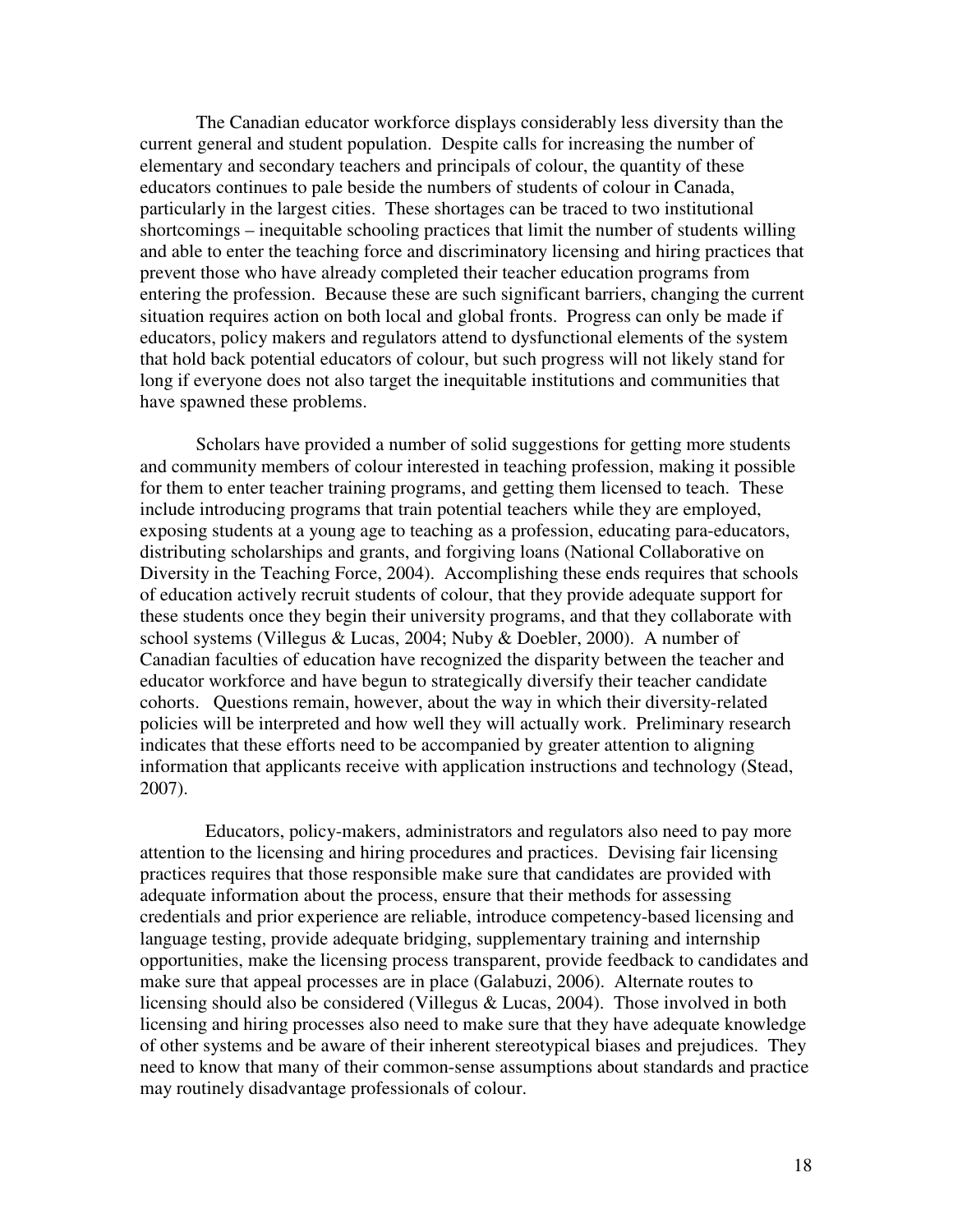The Canadian educator workforce displays considerably less diversity than the current general and student population. Despite calls for increasing the number of elementary and secondary teachers and principals of colour, the quantity of these educators continues to pale beside the numbers of students of colour in Canada, particularly in the largest cities. These shortages can be traced to two institutional shortcomings – inequitable schooling practices that limit the number of students willing and able to enter the teaching force and discriminatory licensing and hiring practices that prevent those who have already completed their teacher education programs from entering the profession. Because these are such significant barriers, changing the current situation requires action on both local and global fronts. Progress can only be made if educators, policy makers and regulators attend to dysfunctional elements of the system that hold back potential educators of colour, but such progress will not likely stand for long if everyone does not also target the inequitable institutions and communities that have spawned these problems.

 Scholars have provided a number of solid suggestions for getting more students and community members of colour interested in teaching profession, making it possible for them to enter teacher training programs, and getting them licensed to teach. These include introducing programs that train potential teachers while they are employed, exposing students at a young age to teaching as a profession, educating para-educators, distributing scholarships and grants, and forgiving loans (National Collaborative on Diversity in the Teaching Force, 2004). Accomplishing these ends requires that schools of education actively recruit students of colour, that they provide adequate support for these students once they begin their university programs, and that they collaborate with school systems (Villegus & Lucas, 2004; Nuby & Doebler, 2000). A number of Canadian faculties of education have recognized the disparity between the teacher and educator workforce and have begun to strategically diversify their teacher candidate cohorts. Questions remain, however, about the way in which their diversity-related policies will be interpreted and how well they will actually work. Preliminary research indicates that these efforts need to be accompanied by greater attention to aligning information that applicants receive with application instructions and technology (Stead, 2007).

 Educators, policy-makers, administrators and regulators also need to pay more attention to the licensing and hiring procedures and practices. Devising fair licensing practices requires that those responsible make sure that candidates are provided with adequate information about the process, ensure that their methods for assessing credentials and prior experience are reliable, introduce competency-based licensing and language testing, provide adequate bridging, supplementary training and internship opportunities, make the licensing process transparent, provide feedback to candidates and make sure that appeal processes are in place (Galabuzi, 2006). Alternate routes to licensing should also be considered (Villegus & Lucas, 2004). Those involved in both licensing and hiring processes also need to make sure that they have adequate knowledge of other systems and be aware of their inherent stereotypical biases and prejudices. They need to know that many of their common-sense assumptions about standards and practice may routinely disadvantage professionals of colour.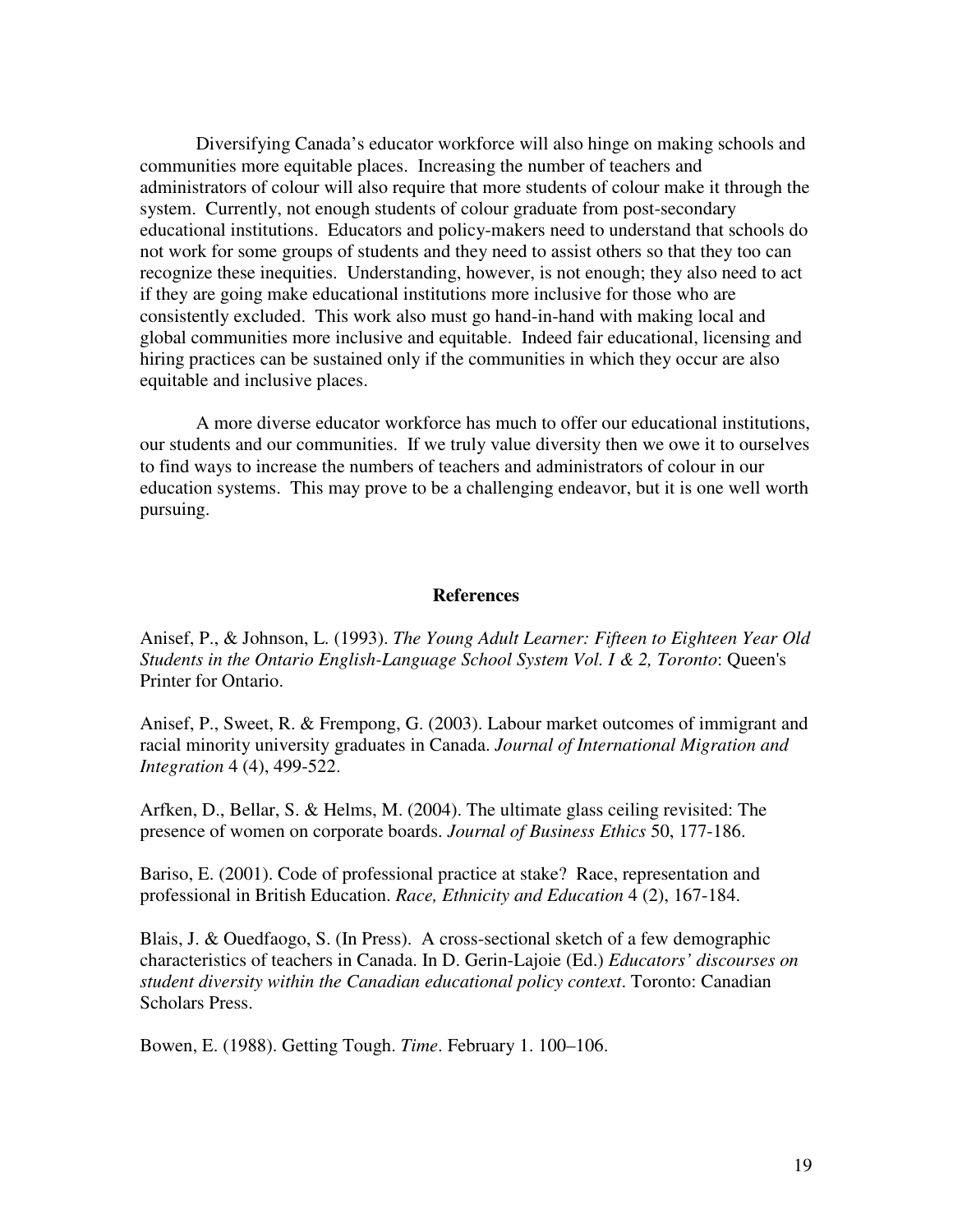Diversifying Canada's educator workforce will also hinge on making schools and communities more equitable places. Increasing the number of teachers and administrators of colour will also require that more students of colour make it through the system. Currently, not enough students of colour graduate from post-secondary educational institutions. Educators and policy-makers need to understand that schools do not work for some groups of students and they need to assist others so that they too can recognize these inequities. Understanding, however, is not enough; they also need to act if they are going make educational institutions more inclusive for those who are consistently excluded. This work also must go hand-in-hand with making local and global communities more inclusive and equitable. Indeed fair educational, licensing and hiring practices can be sustained only if the communities in which they occur are also equitable and inclusive places.

A more diverse educator workforce has much to offer our educational institutions, our students and our communities. If we truly value diversity then we owe it to ourselves to find ways to increase the numbers of teachers and administrators of colour in our education systems. This may prove to be a challenging endeavor, but it is one well worth pursuing.

#### **References**

Anisef, P., & Johnson, L. (1993). *The Young Adult Learner: Fifteen to Eighteen Year Old Students in the Ontario English-Language School System Vol. I & 2, Toronto*: Queen's Printer for Ontario.

Anisef, P., Sweet, R. & Frempong, G. (2003). Labour market outcomes of immigrant and racial minority university graduates in Canada. *Journal of International Migration and Integration* 4 (4), 499-522.

Arfken, D., Bellar, S. & Helms, M. (2004). The ultimate glass ceiling revisited: The presence of women on corporate boards. *Journal of Business Ethics* 50, 177-186.

Bariso, E. (2001). Code of professional practice at stake? Race, representation and professional in British Education. *Race, Ethnicity and Education* 4 (2), 167-184.

Blais, J. & Ouedfaogo, S. (In Press). A cross-sectional sketch of a few demographic characteristics of teachers in Canada. In D. Gerin-Lajoie (Ed.) *Educators' discourses on student diversity within the Canadian educational policy context*. Toronto: Canadian Scholars Press.

Bowen, E. (1988). Getting Tough. *Time*. February 1. 100–106.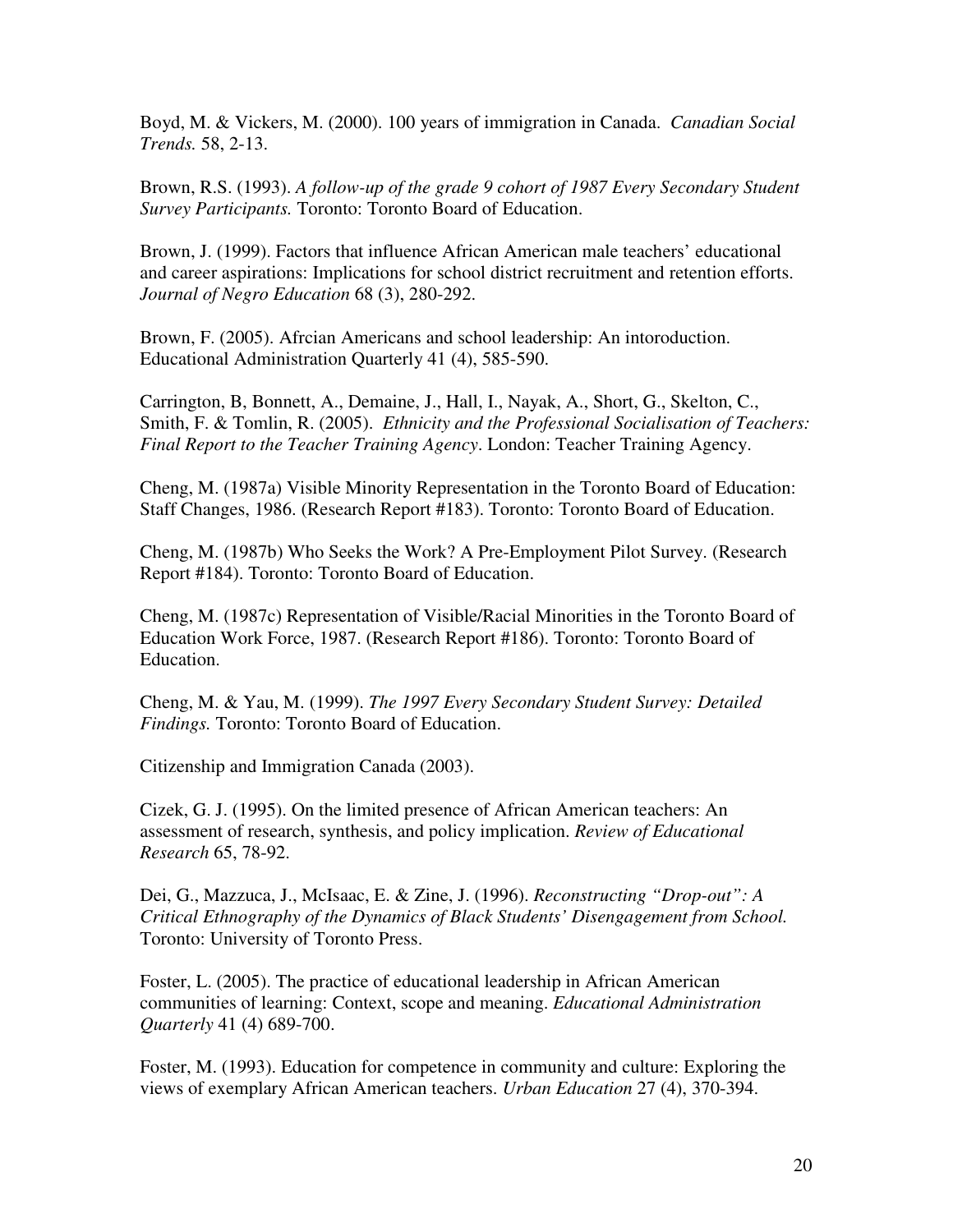Boyd, M. & Vickers, M. (2000). 100 years of immigration in Canada. *Canadian Social Trends.* 58, 2-13.

Brown, R.S. (1993). *A follow-up of the grade 9 cohort of 1987 Every Secondary Student Survey Participants.* Toronto: Toronto Board of Education.

Brown, J. (1999). Factors that influence African American male teachers' educational and career aspirations: Implications for school district recruitment and retention efforts. *Journal of Negro Education* 68 (3), 280-292.

Brown, F. (2005). Afrcian Americans and school leadership: An intoroduction. Educational Administration Quarterly 41 (4), 585-590.

Carrington, B, Bonnett, A., Demaine, J., Hall, I., Nayak, A., Short, G., Skelton, C., Smith, F. & Tomlin, R. (2005). *Ethnicity and the Professional Socialisation of Teachers: Final Report to the Teacher Training Agency*. London: Teacher Training Agency.

Cheng, M. (1987a) Visible Minority Representation in the Toronto Board of Education: Staff Changes, 1986. (Research Report #183). Toronto: Toronto Board of Education.

Cheng, M. (1987b) Who Seeks the Work? A Pre-Employment Pilot Survey. (Research Report #184). Toronto: Toronto Board of Education.

Cheng, M. (1987c) Representation of Visible/Racial Minorities in the Toronto Board of Education Work Force, 1987. (Research Report #186). Toronto: Toronto Board of Education.

Cheng, M. & Yau, M. (1999). *The 1997 Every Secondary Student Survey: Detailed Findings.* Toronto: Toronto Board of Education.

Citizenship and Immigration Canada (2003).

Cizek, G. J. (1995). On the limited presence of African American teachers: An assessment of research, synthesis, and policy implication. *Review of Educational Research* 65, 78-92.

Dei, G., Mazzuca, J., McIsaac, E. & Zine, J. (1996). *Reconstructing "Drop-out": A Critical Ethnography of the Dynamics of Black Students' Disengagement from School.* Toronto: University of Toronto Press.

Foster, L. (2005). The practice of educational leadership in African American communities of learning: Context, scope and meaning. *Educational Administration Quarterly* 41 (4) 689-700.

Foster, M. (1993). Education for competence in community and culture: Exploring the views of exemplary African American teachers. *Urban Education* 27 (4), 370-394.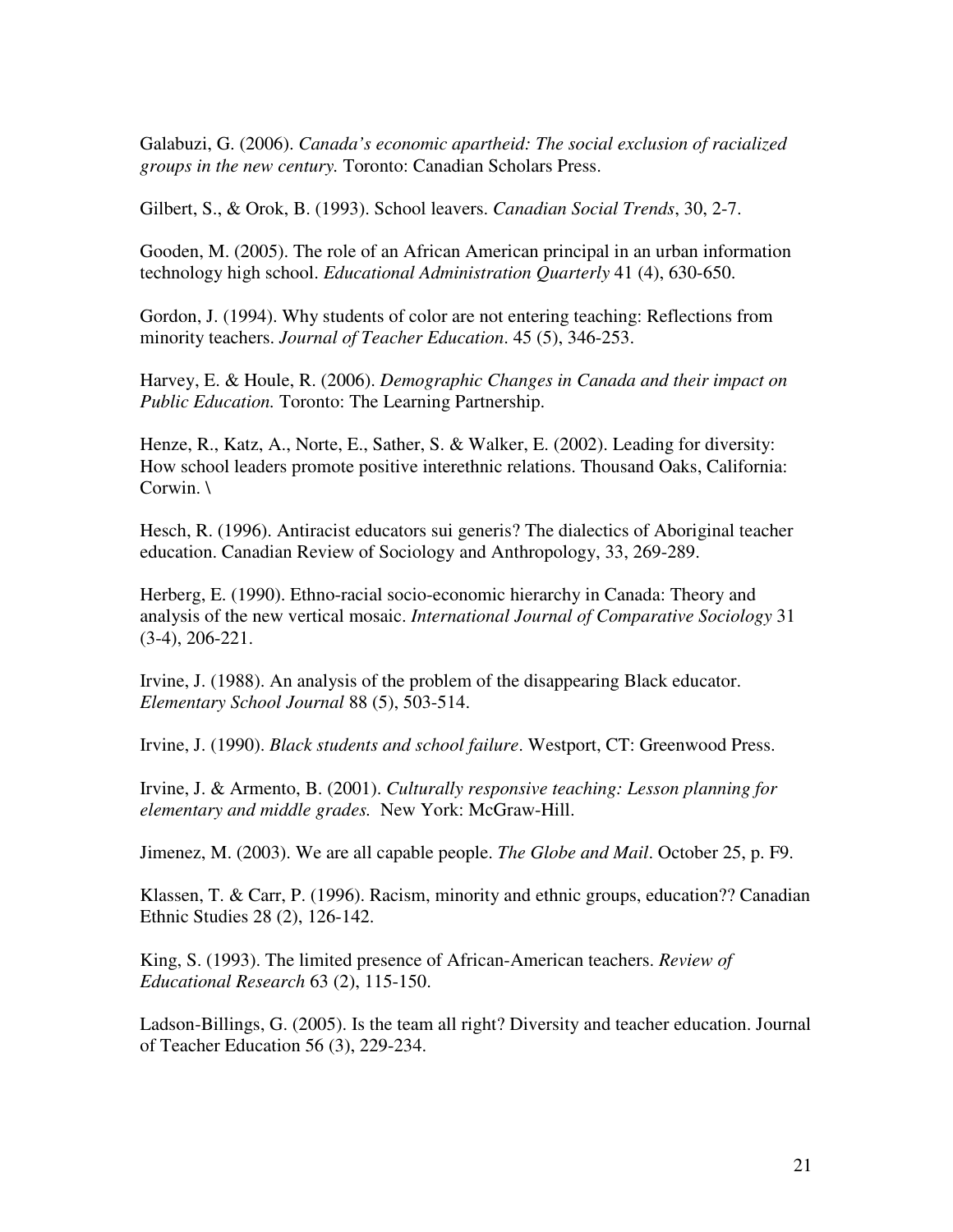Galabuzi, G. (2006). *Canada's economic apartheid: The social exclusion of racialized groups in the new century.* Toronto: Canadian Scholars Press.

Gilbert, S., & Orok, B. (1993). School leavers. *Canadian Social Trends*, 30, 2-7.

Gooden, M. (2005). The role of an African American principal in an urban information technology high school. *Educational Administration Quarterly* 41 (4), 630-650.

Gordon, J. (1994). Why students of color are not entering teaching: Reflections from minority teachers. *Journal of Teacher Education*. 45 (5), 346-253.

Harvey, E. & Houle, R. (2006). *Demographic Changes in Canada and their impact on Public Education.* Toronto: The Learning Partnership.

Henze, R., Katz, A., Norte, E., Sather, S. & Walker, E. (2002). Leading for diversity: How school leaders promote positive interethnic relations. Thousand Oaks, California: Corwin. \

Hesch, R. (1996). Antiracist educators sui generis? The dialectics of Aboriginal teacher education. Canadian Review of Sociology and Anthropology, 33, 269-289.

Herberg, E. (1990). Ethno-racial socio-economic hierarchy in Canada: Theory and analysis of the new vertical mosaic. *International Journal of Comparative Sociology* 31 (3-4), 206-221.

Irvine, J. (1988). An analysis of the problem of the disappearing Black educator. *Elementary School Journal* 88 (5), 503-514.

Irvine, J. (1990). *Black students and school failure*. Westport, CT: Greenwood Press.

Irvine, J. & Armento, B. (2001). *Culturally responsive teaching: Lesson planning for elementary and middle grades.* New York: McGraw-Hill.

Jimenez, M. (2003). We are all capable people. *The Globe and Mail*. October 25, p. F9.

Klassen, T. & Carr, P. (1996). Racism, minority and ethnic groups, education?? Canadian Ethnic Studies 28 (2), 126-142.

King, S. (1993). The limited presence of African-American teachers. *Review of Educational Research* 63 (2), 115-150.

Ladson-Billings, G. (2005). Is the team all right? Diversity and teacher education. Journal of Teacher Education 56 (3), 229-234.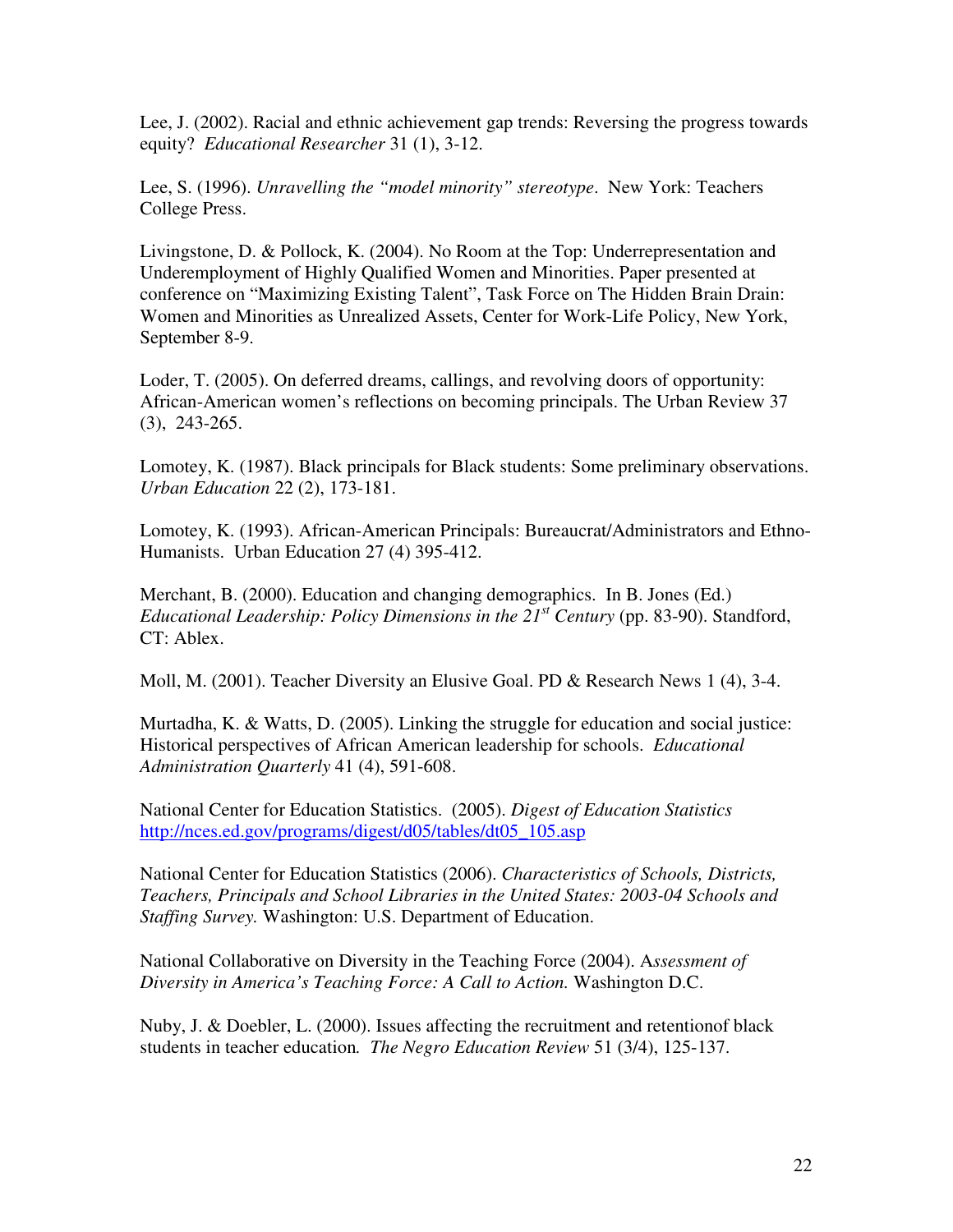Lee, J. (2002). Racial and ethnic achievement gap trends: Reversing the progress towards equity? *Educational Researcher* 31 (1), 3-12.

Lee, S. (1996). *Unravelling the "model minority" stereotype*. New York: Teachers College Press.

Livingstone, D. & Pollock, K. (2004). No Room at the Top: Underrepresentation and Underemployment of Highly Qualified Women and Minorities. Paper presented at conference on "Maximizing Existing Talent", Task Force on The Hidden Brain Drain: Women and Minorities as Unrealized Assets, Center for Work-Life Policy, New York, September 8-9.

Loder, T. (2005). On deferred dreams, callings, and revolving doors of opportunity: African-American women's reflections on becoming principals. The Urban Review 37 (3), 243-265.

Lomotey, K. (1987). Black principals for Black students: Some preliminary observations. *Urban Education* 22 (2), 173-181.

Lomotey, K. (1993). African-American Principals: Bureaucrat/Administrators and Ethno-Humanists. Urban Education 27 (4) 395-412.

Merchant, B. (2000). Education and changing demographics. In B. Jones (Ed.) *Educational Leadership: Policy Dimensions in the 21st Century* (pp. 83-90). Standford, CT: Ablex.

Moll, M. (2001). Teacher Diversity an Elusive Goal. PD & Research News 1 (4), 3-4.

Murtadha, K. & Watts, D. (2005). Linking the struggle for education and social justice: Historical perspectives of African American leadership for schools. *Educational Administration Quarterly* 41 (4), 591-608.

National Center for Education Statistics. (2005). *Digest of Education Statistics* http://nces.ed.gov/programs/digest/d05/tables/dt05\_105.asp

National Center for Education Statistics (2006). *Characteristics of Schools, Districts, Teachers, Principals and School Libraries in the United States: 2003-04 Schools and Staffing Survey.* Washington: U.S. Department of Education.

National Collaborative on Diversity in the Teaching Force (2004). A*ssessment of Diversity in America's Teaching Force: A Call to Action.* Washington D.C.

Nuby, J. & Doebler, L. (2000). Issues affecting the recruitment and retentionof black students in teacher education*. The Negro Education Review* 51 (3/4), 125-137.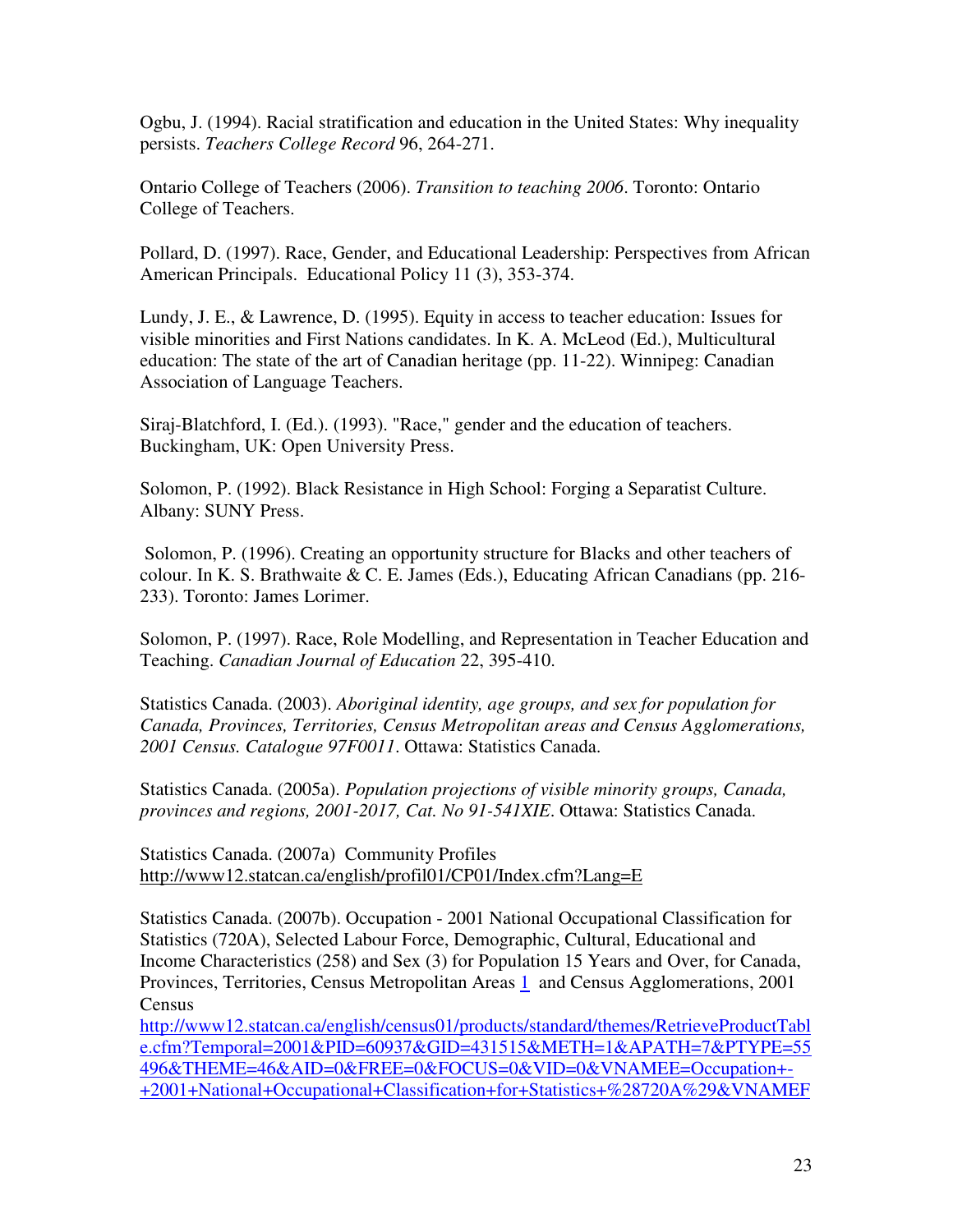Ogbu, J. (1994). Racial stratification and education in the United States: Why inequality persists. *Teachers College Record* 96, 264-271.

Ontario College of Teachers (2006). *Transition to teaching 2006*. Toronto: Ontario College of Teachers.

Pollard, D. (1997). Race, Gender, and Educational Leadership: Perspectives from African American Principals. Educational Policy 11 (3), 353-374.

Lundy, J. E., & Lawrence, D. (1995). Equity in access to teacher education: Issues for visible minorities and First Nations candidates. In K. A. McLeod (Ed.), Multicultural education: The state of the art of Canadian heritage (pp. 11-22). Winnipeg: Canadian Association of Language Teachers.

Siraj-Blatchford, I. (Ed.). (1993). "Race," gender and the education of teachers. Buckingham, UK: Open University Press.

Solomon, P. (1992). Black Resistance in High School: Forging a Separatist Culture. Albany: SUNY Press.

 Solomon, P. (1996). Creating an opportunity structure for Blacks and other teachers of colour. In K. S. Brathwaite & C. E. James (Eds.), Educating African Canadians (pp. 216- 233). Toronto: James Lorimer.

Solomon, P. (1997). Race, Role Modelling, and Representation in Teacher Education and Teaching. *Canadian Journal of Education* 22, 395-410.

Statistics Canada. (2003). *Aboriginal identity, age groups, and sex for population for Canada, Provinces, Territories, Census Metropolitan areas and Census Agglomerations, 2001 Census. Catalogue 97F0011*. Ottawa: Statistics Canada.

Statistics Canada. (2005a). *Population projections of visible minority groups, Canada, provinces and regions, 2001-2017, Cat. No 91-541XIE*. Ottawa: Statistics Canada.

Statistics Canada. (2007a) Community Profiles http://www12.statcan.ca/english/profil01/CP01/Index.cfm?Lang=E

Statistics Canada. (2007b). Occupation - 2001 National Occupational Classification for Statistics (720A), Selected Labour Force, Demographic, Cultural, Educational and Income Characteristics (258) and Sex (3) for Population 15 Years and Over, for Canada, Provinces, Territories, Census Metropolitan Areas 1 and Census Agglomerations, 2001 **Census** 

http://www12.statcan.ca/english/census01/products/standard/themes/RetrieveProductTabl e.cfm?Temporal=2001&PID=60937&GID=431515&METH=1&APATH=7&PTYPE=55 496&THEME=46&AID=0&FREE=0&FOCUS=0&VID=0&VNAMEE=Occupation+- +2001+National+Occupational+Classification+for+Statistics+%28720A%29&VNAMEF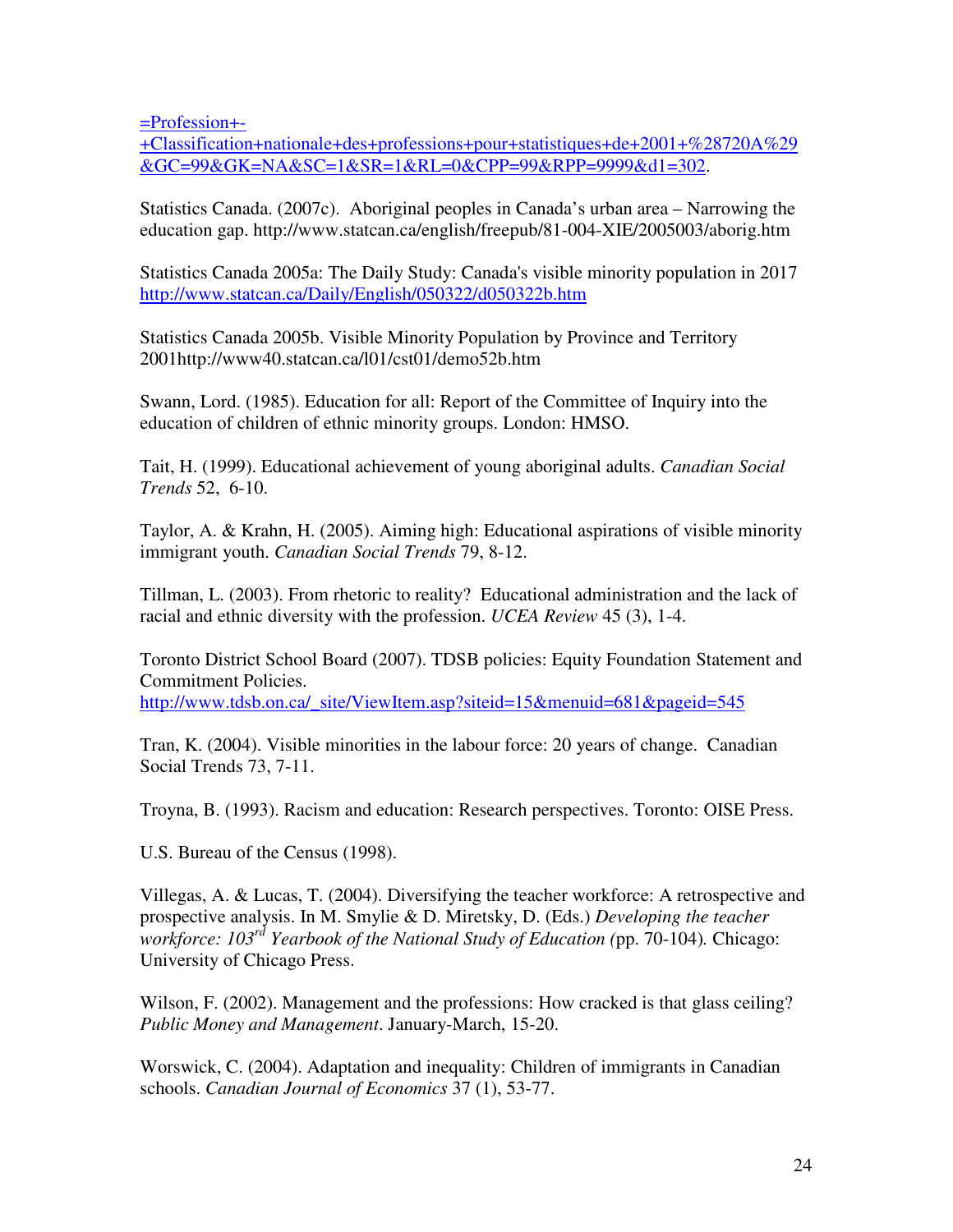=Profession+-

+Classification+nationale+des+professions+pour+statistiques+de+2001+%28720A%29 &GC=99&GK=NA&SC=1&SR=1&RL=0&CPP=99&RPP=9999&d1=302.

Statistics Canada. (2007c). Aboriginal peoples in Canada's urban area – Narrowing the education gap. http://www.statcan.ca/english/freepub/81-004-XIE/2005003/aborig.htm

Statistics Canada 2005a: The Daily Study: Canada's visible minority population in 2017 http://www.statcan.ca/Daily/English/050322/d050322b.htm

Statistics Canada 2005b. Visible Minority Population by Province and Territory 2001http://www40.statcan.ca/l01/cst01/demo52b.htm

Swann, Lord. (1985). Education for all: Report of the Committee of Inquiry into the education of children of ethnic minority groups. London: HMSO.

Tait, H. (1999). Educational achievement of young aboriginal adults. *Canadian Social Trends* 52, 6-10.

Taylor, A. & Krahn, H. (2005). Aiming high: Educational aspirations of visible minority immigrant youth. *Canadian Social Trends* 79, 8-12.

Tillman, L. (2003). From rhetoric to reality? Educational administration and the lack of racial and ethnic diversity with the profession. *UCEA Review* 45 (3), 1-4.

Toronto District School Board (2007). TDSB policies: Equity Foundation Statement and Commitment Policies. http://www.tdsb.on.ca/\_site/ViewItem.asp?siteid=15&menuid=681&pageid=545

Tran, K. (2004). Visible minorities in the labour force: 20 years of change. Canadian Social Trends 73, 7-11.

Troyna, B. (1993). Racism and education: Research perspectives. Toronto: OISE Press.

U.S. Bureau of the Census (1998).

Villegas, A. & Lucas, T. (2004). Diversifying the teacher workforce: A retrospective and prospective analysis. In M. Smylie & D. Miretsky, D. (Eds.) *Developing the teacher workforce: 103rd Yearbook of the National Study of Education (*pp. 70-104)*.* Chicago: University of Chicago Press.

Wilson, F. (2002). Management and the professions: How cracked is that glass ceiling? *Public Money and Management*. January-March, 15-20.

Worswick, C. (2004). Adaptation and inequality: Children of immigrants in Canadian schools. *Canadian Journal of Economics* 37 (1), 53-77.